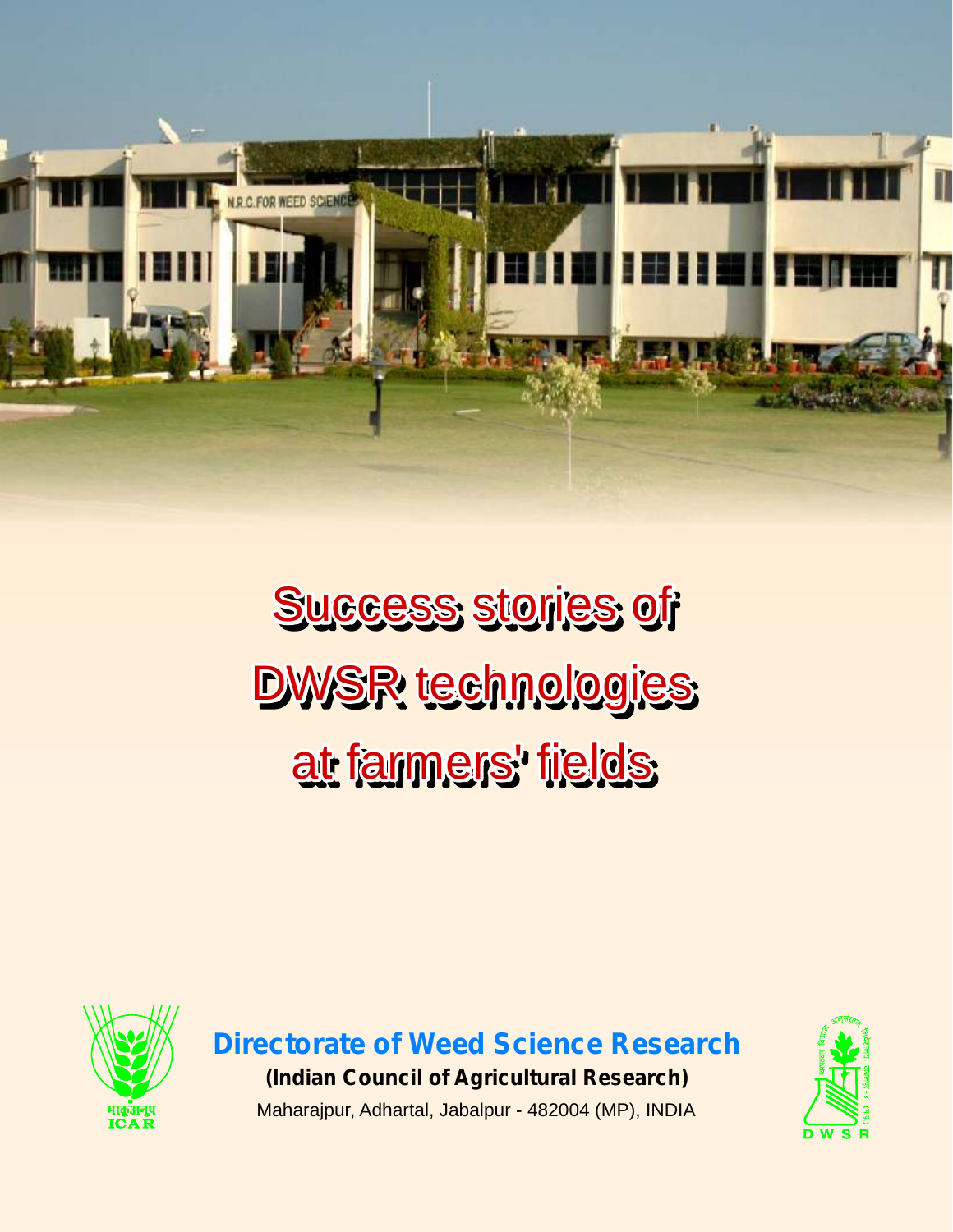

Success stories of DWSR technologies at farmers' fields



**Directorate of Weed Science Research (Indian Council of Agricultural Research)** Maharajpur, Adhartal, Jabalpur - 482004 (MP), INDIA

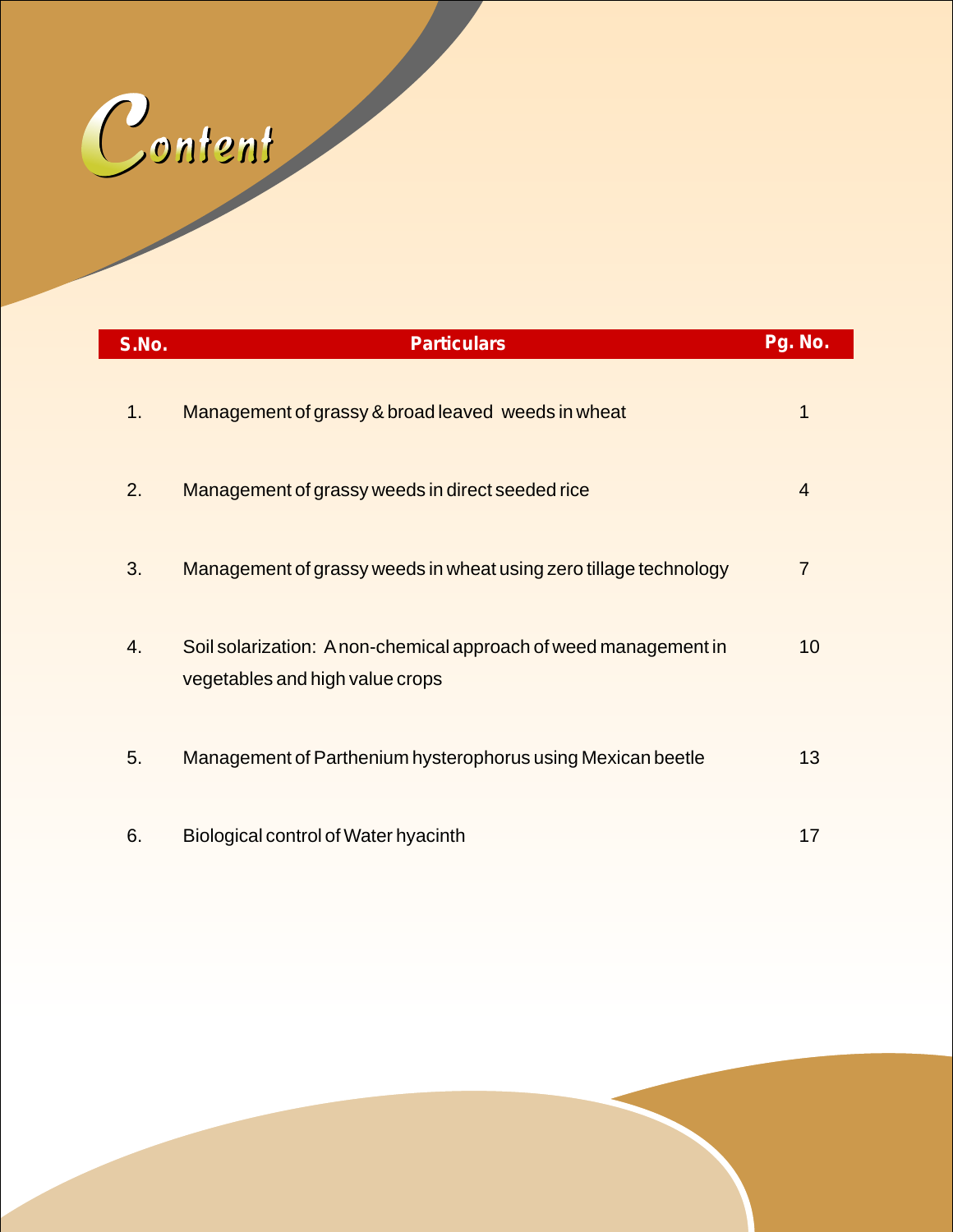

| S.No. | <b>Particulars</b>                                                                                  | Pg. No.        |
|-------|-----------------------------------------------------------------------------------------------------|----------------|
| 1.    | Management of grassy & broad leaved weeds in wheat                                                  | 1              |
| 2.    | Management of grassy weeds in direct seeded rice                                                    | $\overline{4}$ |
| 3.    | Management of grassy weeds in wheat using zero tillage technology                                   | $\overline{7}$ |
| 4.    | Soil solarization: A non-chemical approach of weed management in<br>vegetables and high value crops | 10             |
| 5.    | Management of Parthenium hysterophorus using Mexican beetle                                         | 13             |
| 6.    | Biological control of Water hyacinth                                                                | 17             |

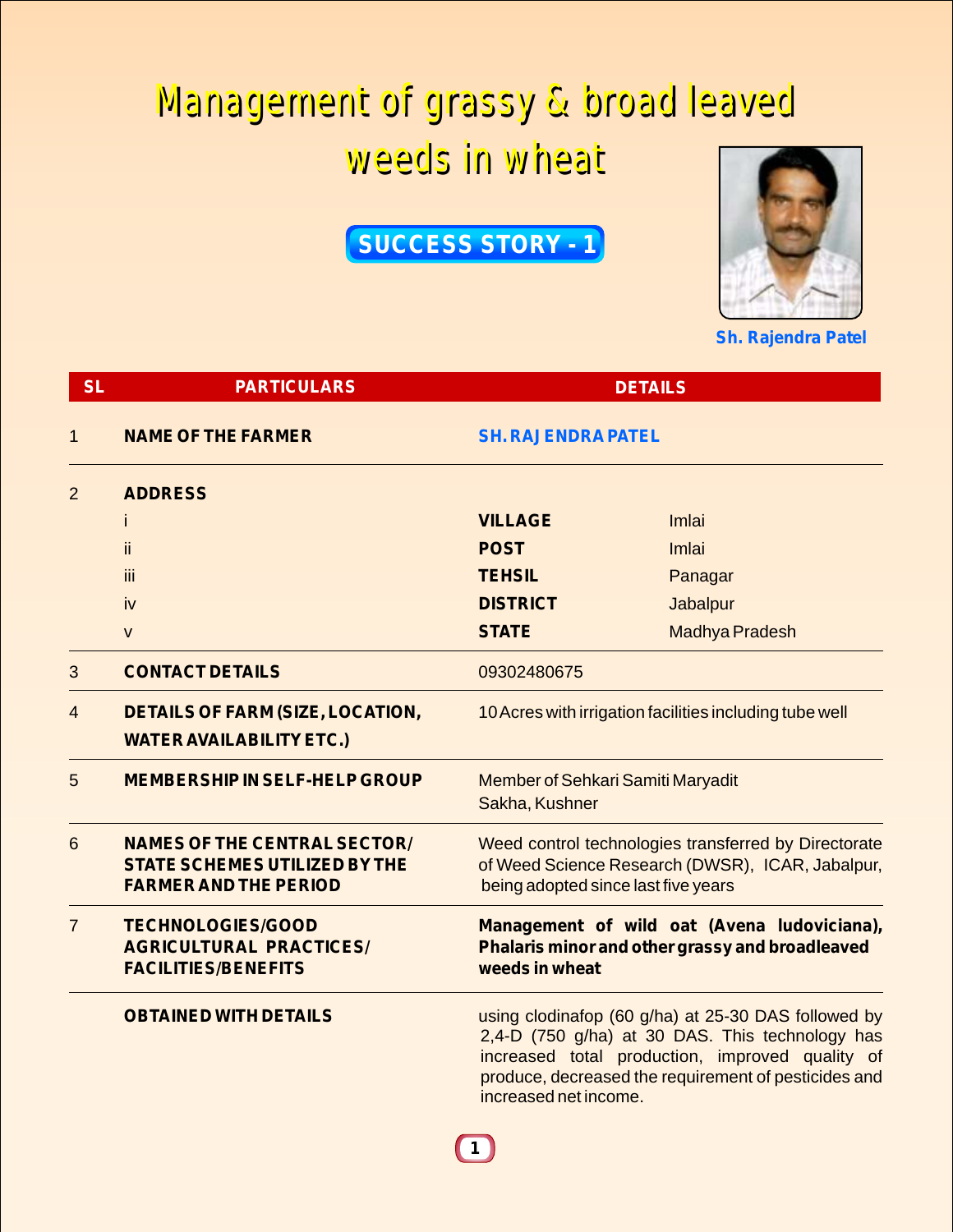## Management of grassy & broad leaved Management of grassy & broad leaved weeds in wheat weeds in wheat

### **SUCCESS STORY - 1**



**Sh. Rajendra Patel**

| <b>SL</b>      | <b>PARTICULARS</b>                                                                                          | <b>DETAILS</b>                                                                                                                                  |                                                                                                                                                                                                                   |
|----------------|-------------------------------------------------------------------------------------------------------------|-------------------------------------------------------------------------------------------------------------------------------------------------|-------------------------------------------------------------------------------------------------------------------------------------------------------------------------------------------------------------------|
| $\mathbf{1}$   | <b>NAME OF THE FARMER</b>                                                                                   | <b>SH. RAJENDRA PATEL</b>                                                                                                                       |                                                                                                                                                                                                                   |
| $\overline{2}$ | <b>ADDRESS</b>                                                                                              |                                                                                                                                                 |                                                                                                                                                                                                                   |
|                |                                                                                                             | <b>VILLAGE</b>                                                                                                                                  | Imlai                                                                                                                                                                                                             |
|                | ii.                                                                                                         | <b>POST</b>                                                                                                                                     | Imlai                                                                                                                                                                                                             |
|                | iii                                                                                                         | <b>TEHSIL</b>                                                                                                                                   | Panagar                                                                                                                                                                                                           |
|                | iv                                                                                                          | <b>DISTRICT</b>                                                                                                                                 | <b>Jabalpur</b>                                                                                                                                                                                                   |
|                | $\mathsf{V}$                                                                                                | <b>STATE</b>                                                                                                                                    | <b>Madhya Pradesh</b>                                                                                                                                                                                             |
| 3              | <b>CONTACT DETAILS</b>                                                                                      | 09302480675                                                                                                                                     |                                                                                                                                                                                                                   |
| 4              | <b>DETAILS OF FARM (SIZE, LOCATION,</b><br><b>WATER AVAILABILITY ETC.)</b>                                  | 10 Acres with irrigation facilities including tube well                                                                                         |                                                                                                                                                                                                                   |
| 5              | <b>MEMBERSHIP IN SELF-HELP GROUP</b>                                                                        | Member of Sehkari Samiti Maryadit<br>Sakha, Kushner                                                                                             |                                                                                                                                                                                                                   |
| 6              | <b>NAMES OF THE CENTRAL SECTOR/</b><br><b>STATE SCHEMES UTILIZED BY THE</b><br><b>FARMER AND THE PERIOD</b> | Weed control technologies transferred by Directorate<br>of Weed Science Research (DWSR), ICAR, Jabalpur,<br>being adopted since last five years |                                                                                                                                                                                                                   |
| $\overline{7}$ | <b>TECHNOLOGIES/GOOD</b><br><b>AGRICULTURAL PRACTICES/</b><br><b>FACILITIES/BENEFITS</b>                    | Management of wild oat (Avena ludoviciana),<br>Phalaris minor and other grassy and broadleaved<br>weeds in wheat                                |                                                                                                                                                                                                                   |
|                | <b>OBTAINED WITH DETAILS</b>                                                                                | increased net income.<br>$\mathbf 1$                                                                                                            | using clodinafop (60 g/ha) at 25-30 DAS followed by<br>2,4-D (750 g/ha) at 30 DAS. This technology has<br>increased total production, improved quality of<br>produce, decreased the requirement of pesticides and |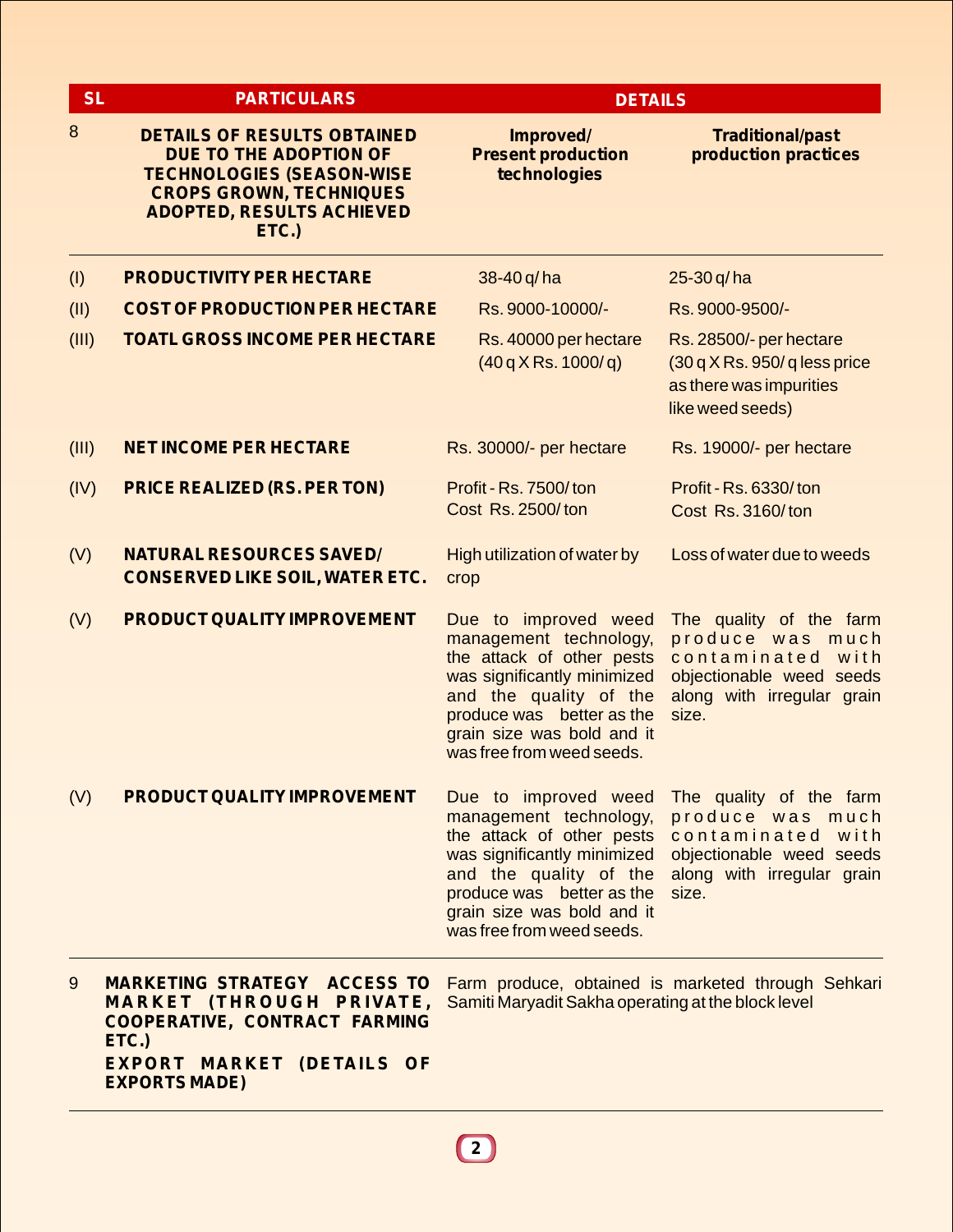| <b>SL</b> | <b>PARTICULARS</b>                                                                                                                                                              | <b>DETAILS</b>                                                                                                                                                                                                               |                                                                                                                                     |  |
|-----------|---------------------------------------------------------------------------------------------------------------------------------------------------------------------------------|------------------------------------------------------------------------------------------------------------------------------------------------------------------------------------------------------------------------------|-------------------------------------------------------------------------------------------------------------------------------------|--|
| 8         | <b>DETAILS OF RESULTS OBTAINED</b><br>DUE TO THE ADOPTION OF<br><b>TECHNOLOGIES (SEASON-WISE</b><br><b>CROPS GROWN, TECHNIQUES</b><br><b>ADOPTED, RESULTS ACHIEVED</b><br>ETC.) | Improved/<br><b>Present production</b><br>technologies                                                                                                                                                                       | <b>Traditional/past</b><br>production practices                                                                                     |  |
| (1)       | <b>PRODUCTIVITY PER HECTARE</b>                                                                                                                                                 | 38-40 q/ha                                                                                                                                                                                                                   | $25 - 30 q/ha$                                                                                                                      |  |
| (II)      | <b>COST OF PRODUCTION PER HECTARE</b>                                                                                                                                           | Rs. 9000-10000/-                                                                                                                                                                                                             | Rs. 9000-9500/-                                                                                                                     |  |
| (III)     | <b>TOATL GROSS INCOME PER HECTARE</b>                                                                                                                                           | Rs. 40000 per hectare<br>$(40q)$ KRs. 1000/q)                                                                                                                                                                                | Rs. 28500/- per hectare<br>$(30q)$ K Rs. 950/q less price<br>as there was impurities<br>like weed seeds)                            |  |
| (III)     | <b>NET INCOME PER HECTARE</b>                                                                                                                                                   | Rs. 30000/- per hectare                                                                                                                                                                                                      | Rs. 19000/- per hectare                                                                                                             |  |
| (IV)      | <b>PRICE REALIZED (RS. PER TON)</b>                                                                                                                                             | Profit - Rs. 7500/ton<br>Cost Rs. 2500/ton                                                                                                                                                                                   | Profit - Rs. 6330/ton<br>Cost Rs. 3160/ton                                                                                          |  |
| (V)       | <b>NATURAL RESOURCES SAVED/</b><br><b>CONSERVED LIKE SOIL, WATER ETC.</b>                                                                                                       | High utilization of water by<br>crop                                                                                                                                                                                         | Loss of water due to weeds                                                                                                          |  |
| (V)       | <b>PRODUCT QUALITY IMPROVEMENT</b>                                                                                                                                              | Due to improved weed<br>management technology,<br>the attack of other pests<br>was significantly minimized<br>and the quality of the<br>produce was better as the<br>grain size was bold and it<br>was free from weed seeds. | The quality of the farm<br>produce was much<br>contaminated with<br>objectionable weed seeds<br>along with irregular grain<br>size. |  |
| (V)       | <b>PRODUCT QUALITY IMPROVEMENT</b>                                                                                                                                              | Due to improved weed<br>management technology,<br>the attack of other pests<br>was significantly minimized<br>and the quality of the<br>produce was better as the<br>grain size was bold and it<br>was free from weed seeds. | The quality of the farm<br>produce was much<br>contaminated with<br>objectionable weed seeds<br>along with irregular grain<br>size. |  |
| 9         | <b>MARKETING STRATEGY ACCESS TO</b><br><b>MARKET (THROUGH PRIVATE,</b><br>COOPERATIVE, CONTRACT FARMING<br>ETC.)<br>EXPORT MARKET (DETAILS OF<br><b>EXPORTS MADE)</b>           | Samiti Maryadit Sakha operating at the block level                                                                                                                                                                           | Farm produce, obtained is marketed through Sehkari                                                                                  |  |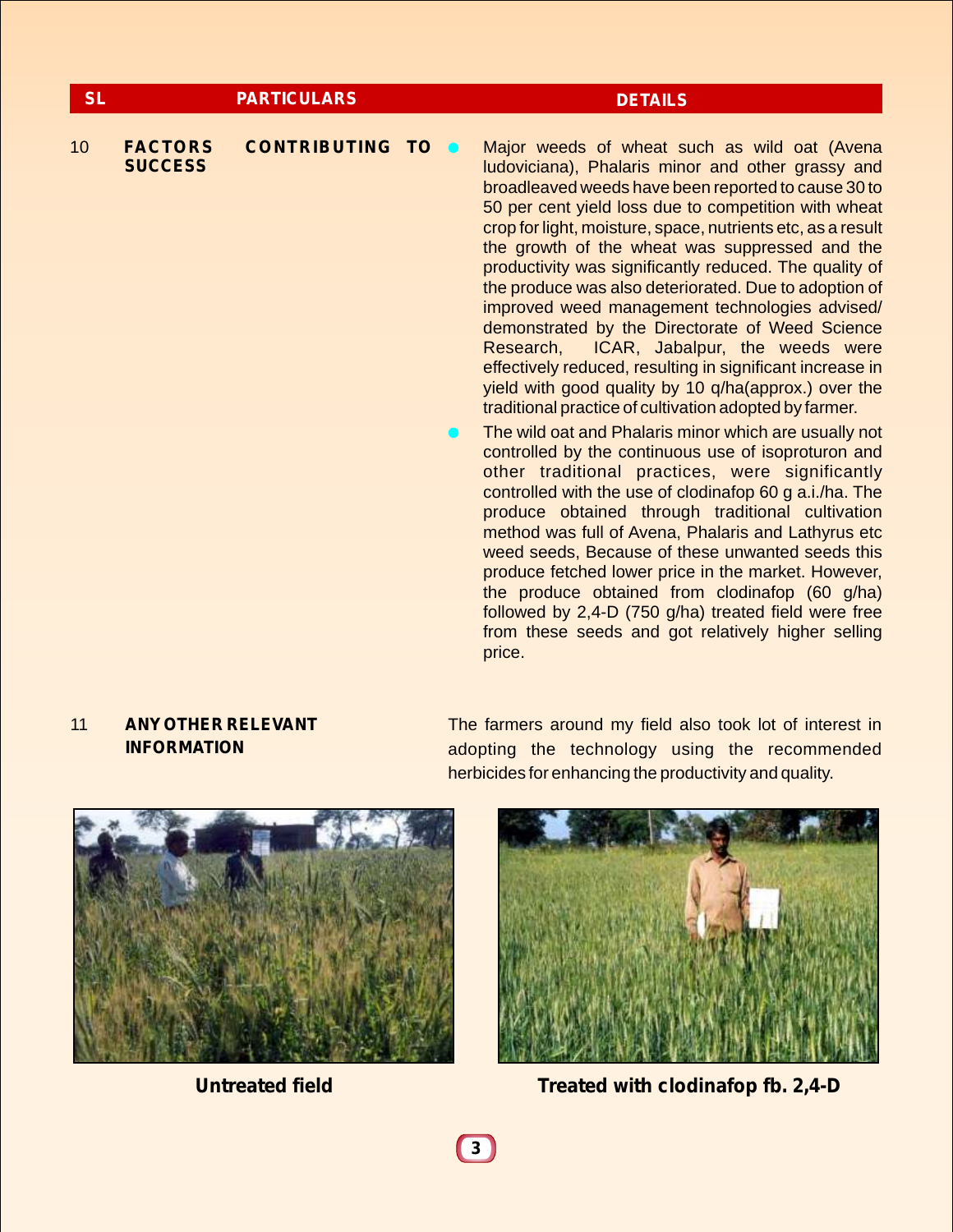| <b>SL</b> |                                  | <b>PARTICULARS</b>       |  | <b>DETAILS</b>                                                                                                                                                                                                                                                                                                                                                                                                                                                                                                                                                                                                                                                                                                                |
|-----------|----------------------------------|--------------------------|--|-------------------------------------------------------------------------------------------------------------------------------------------------------------------------------------------------------------------------------------------------------------------------------------------------------------------------------------------------------------------------------------------------------------------------------------------------------------------------------------------------------------------------------------------------------------------------------------------------------------------------------------------------------------------------------------------------------------------------------|
| 10        | <b>FACTORS</b><br><b>SUCCESS</b> | <b>CONTRIBUTING TO @</b> |  | Major weeds of wheat such as wild oat (Avena<br>ludoviciana), Phalaris minor and other grassy and<br>broadleaved weeds have been reported to cause 30 to<br>50 per cent yield loss due to competition with wheat<br>crop for light, moisture, space, nutrients etc, as a result<br>the growth of the wheat was suppressed and the<br>productivity was significantly reduced. The quality of<br>the produce was also deteriorated. Due to adoption of<br>improved weed management technologies advised/<br>demonstrated by the Directorate of Weed Science<br>ICAR, Jabalpur, the weeds were<br>Research,<br>effectively reduced, resulting in significant increase in<br>yield with good quality by 10 q/ha(approx.) over the |
|           |                                  |                          |  | traditional practice of cultivation adopted by farmer.<br>The wild oat and Phalaris minor which are usually not<br>controlled by the continuous use of isoproturon and<br>other traditional practices, were significantly<br>controlled with the use of clodinafop 60 g a.i./ha. The<br>produce obtained through traditional cultivation<br>method was full of Avena, Phalaris and Lathyrus etc<br>weed seeds, Because of these unwanted seeds this<br>produce fetched lower price in the market. However,<br>the produce obtained from clodinafop (60 g/ha)                                                                                                                                                                  |

price.

### 11 **ANYOTHER RELEVANT INFORMATION**

The farmers around my field also took lot of interest in adopting the technology using the recommended herbicides for enhancing the productivity and quality.

followed by 2,4-D (750 g/ha) treated field were free from these seeds and got relatively higher selling





**Untreated field Treated with clodinafop fb. 2,4-D**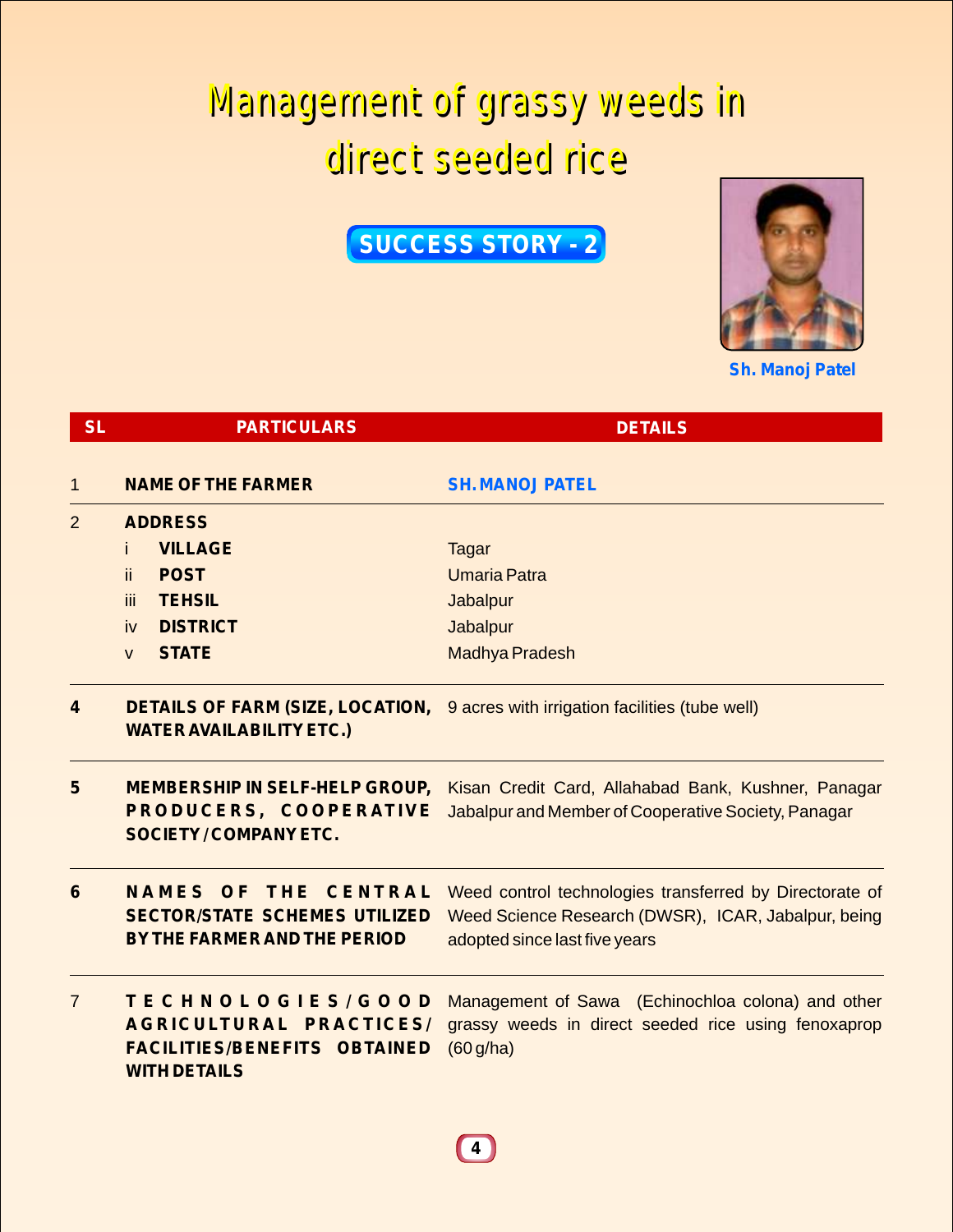## Management of grassy weeds in Management of grassy weeds in direct seeded rice direct seeded rice

**SUCCESS STORY - 2**



**Sh. Manoj Patel**

| <b>SL</b>      | <b>PARTICULARS</b>                                                                                         | <b>DETAILS</b>                                                                                                                                  |
|----------------|------------------------------------------------------------------------------------------------------------|-------------------------------------------------------------------------------------------------------------------------------------------------|
| 1              | <b>NAME OF THE FARMER</b>                                                                                  | <b>SH. MANOJ PATEL</b>                                                                                                                          |
| $\overline{2}$ | <b>ADDRESS</b>                                                                                             |                                                                                                                                                 |
|                | <b>VILLAGE</b><br>Ť.                                                                                       | Tagar                                                                                                                                           |
|                | ii.<br><b>POST</b>                                                                                         | <b>Umaria Patra</b>                                                                                                                             |
|                | <b>TEHSIL</b><br>iii                                                                                       | Jabalpur                                                                                                                                        |
|                | <b>DISTRICT</b><br>iv                                                                                      | Jabalpur                                                                                                                                        |
|                | <b>STATE</b><br>$\mathsf{V}$                                                                               | Madhya Pradesh                                                                                                                                  |
| 4              | <b>DETAILS OF FARM (SIZE, LOCATION,</b><br><b>WATER AVAILABILITY ETC.)</b>                                 | 9 acres with irrigation facilities (tube well)                                                                                                  |
| 5              | <b>MEMBERSHIP IN SELF-HELP GROUP,</b><br>PRODUCERS, COOPERATIVE<br><b>SOCIETY/COMPANY ETC.</b>             | Kisan Credit Card, Allahabad Bank, Kushner, Panagar<br>Jabalpur and Member of Cooperative Society, Panagar                                      |
| 6              | THE CENTRAL<br>NAMES<br>OF<br><b>SECTOR/STATE SCHEMES UTILIZED</b><br>BY THE FARMER AND THE PERIOD         | Weed control technologies transferred by Directorate of<br>Weed Science Research (DWSR), ICAR, Jabalpur, being<br>adopted since last five years |
| $\overline{7}$ | TECHNOLOGIES/GOOD<br>AGRICULTURAL PRACTICES/<br><b>FACILITIES/BENEFITS OBTAINED</b><br><b>WITH DETAILS</b> | Management of Sawa (Echinochloa colona) and other<br>grassy weeds in direct seeded rice using fenoxaprop<br>(60 g/ha)                           |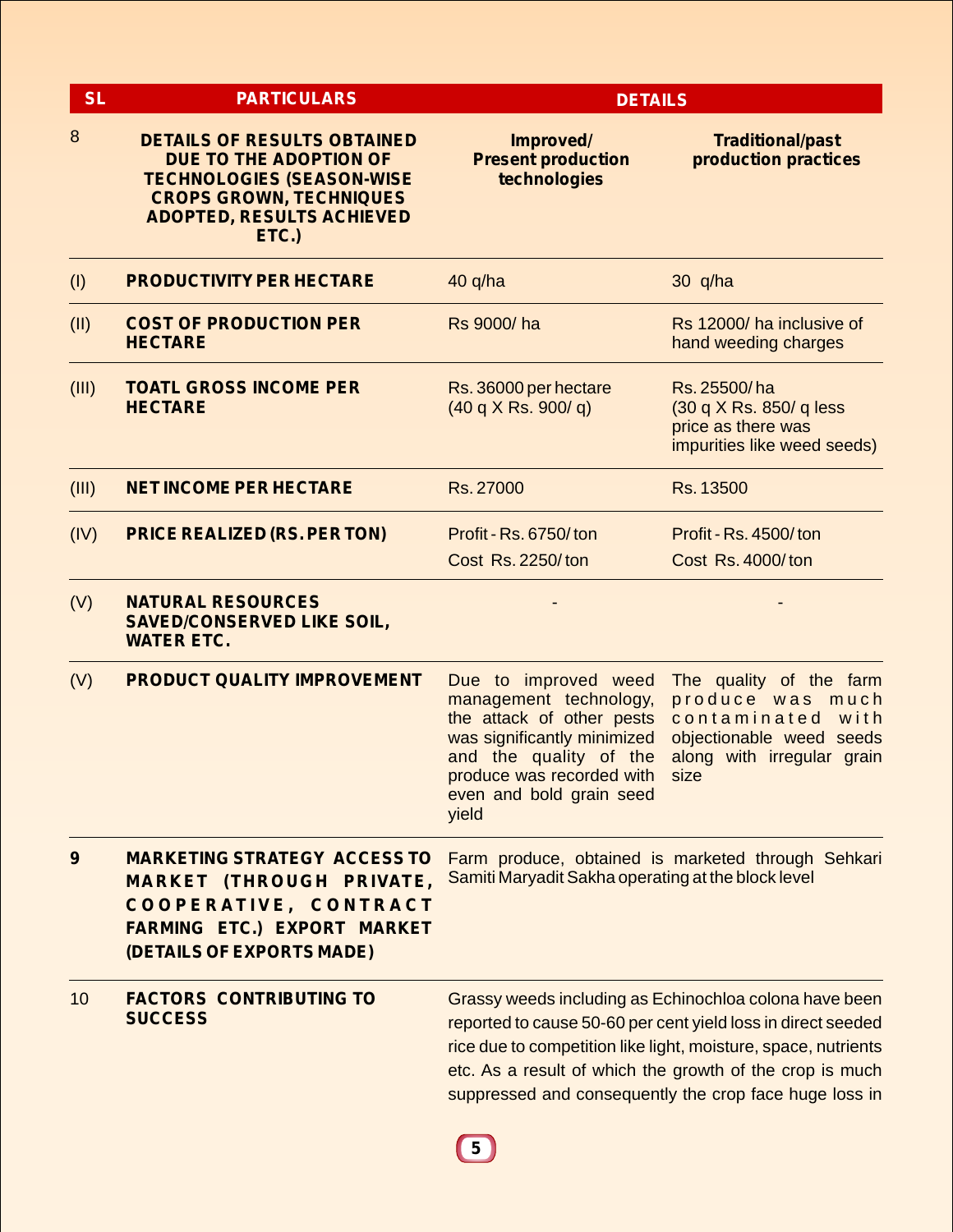| <b>SL</b> | <b>PARTICULARS</b>                                                                                                                                                                     | <b>DETAILS</b>                                                                                                                                                                                         |                                                                                                                                                                                                                                                                                                                |  |
|-----------|----------------------------------------------------------------------------------------------------------------------------------------------------------------------------------------|--------------------------------------------------------------------------------------------------------------------------------------------------------------------------------------------------------|----------------------------------------------------------------------------------------------------------------------------------------------------------------------------------------------------------------------------------------------------------------------------------------------------------------|--|
| 8         | <b>DETAILS OF RESULTS OBTAINED</b><br><b>DUE TO THE ADOPTION OF</b><br><b>TECHNOLOGIES (SEASON-WISE</b><br><b>CROPS GROWN, TECHNIQUES</b><br><b>ADOPTED, RESULTS ACHIEVED</b><br>ETC.) | Improved/<br><b>Present production</b><br>technologies                                                                                                                                                 | <b>Traditional/past</b><br>production practices                                                                                                                                                                                                                                                                |  |
| (1)       | <b>PRODUCTIVITY PER HECTARE</b>                                                                                                                                                        | $40$ q/ha                                                                                                                                                                                              | $30$ q/ha                                                                                                                                                                                                                                                                                                      |  |
| (II)      | <b>COST OF PRODUCTION PER</b><br><b>HECTARE</b>                                                                                                                                        | Rs 9000/ha                                                                                                                                                                                             | Rs 12000/ ha inclusive of<br>hand weeding charges                                                                                                                                                                                                                                                              |  |
| (III)     | <b>TOATL GROSS INCOME PER</b><br><b>HECTARE</b>                                                                                                                                        | Rs. 36000 per hectare<br>(40 q X Rs. 900/q)                                                                                                                                                            | Rs. 25500/ha<br>(30 q X Rs. 850/ q less<br>price as there was<br>impurities like weed seeds)                                                                                                                                                                                                                   |  |
| (III)     | <b>NET INCOME PER HECTARE</b>                                                                                                                                                          | Rs. 27000                                                                                                                                                                                              | Rs. 13500                                                                                                                                                                                                                                                                                                      |  |
| (IV)      | <b>PRICE REALIZED (RS. PER TON)</b>                                                                                                                                                    | Profit - Rs. 6750/ton<br>Cost Rs. 2250/ton                                                                                                                                                             | Profit - Rs. 4500/ton<br>Cost Rs. 4000/ton                                                                                                                                                                                                                                                                     |  |
| (V)       | <b>NATURAL RESOURCES</b><br><b>SAVED/CONSERVED LIKE SOIL,</b><br><b>WATER ETC.</b>                                                                                                     |                                                                                                                                                                                                        |                                                                                                                                                                                                                                                                                                                |  |
| (V)       | <b>PRODUCT QUALITY IMPROVEMENT</b>                                                                                                                                                     | Due to improved weed<br>management technology,<br>the attack of other pests<br>was significantly minimized<br>and the quality of the<br>produce was recorded with<br>even and bold grain seed<br>yield | The quality of the farm<br>produce was much<br>contaminated<br>with<br>objectionable weed seeds<br>along with irregular grain<br>size                                                                                                                                                                          |  |
| 9         | <b>MARKETING STRATEGY ACCESS TO</b><br><b>MARKET (THROUGH PRIVATE,</b><br>COOPERATIVE, CONTRACT<br><b>FARMING ETC.) EXPORT MARKET</b><br>(DETAILS OF EXPORTS MADE)                     | Samiti Maryadit Sakha operating at the block level                                                                                                                                                     | Farm produce, obtained is marketed through Sehkari                                                                                                                                                                                                                                                             |  |
| 10        | <b>FACTORS CONTRIBUTING TO</b><br><b>SUCCESS</b>                                                                                                                                       |                                                                                                                                                                                                        | Grassy weeds including as Echinochloa colona have been<br>reported to cause 50-60 per cent yield loss in direct seeded<br>rice due to competition like light, moisture, space, nutrients<br>etc. As a result of which the growth of the crop is much<br>suppressed and consequently the crop face huge loss in |  |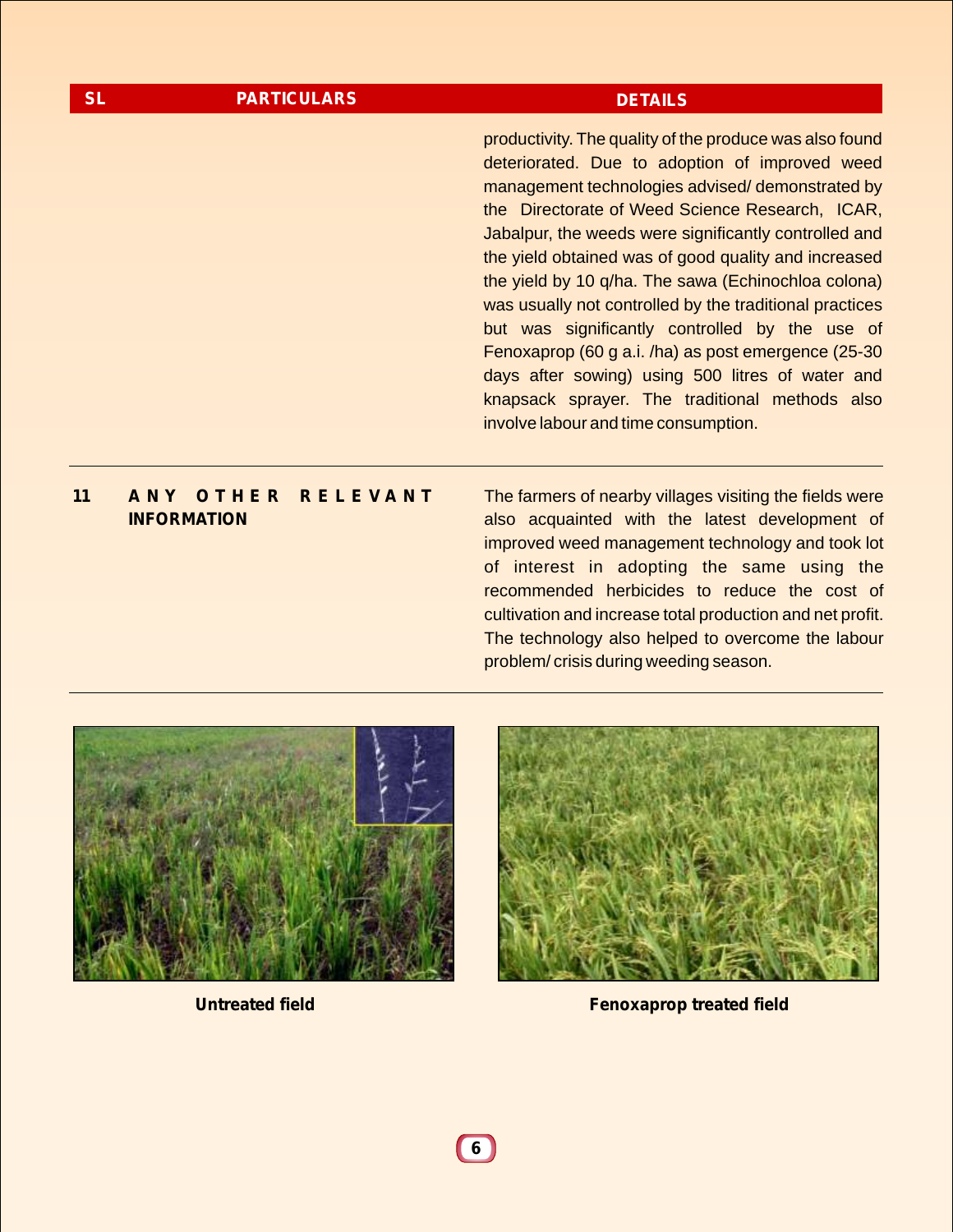| <b>SL</b> | <b>PARTICULARS</b>                                   | <b>DETAILS</b>                                                                                                                                                                                                                                                                                                                                                                                                                                                                                                                                                                                                                                                                                            |
|-----------|------------------------------------------------------|-----------------------------------------------------------------------------------------------------------------------------------------------------------------------------------------------------------------------------------------------------------------------------------------------------------------------------------------------------------------------------------------------------------------------------------------------------------------------------------------------------------------------------------------------------------------------------------------------------------------------------------------------------------------------------------------------------------|
|           |                                                      | productivity. The quality of the produce was also found<br>deteriorated. Due to adoption of improved weed<br>management technologies advised/demonstrated by<br>the Directorate of Weed Science Research, ICAR,<br>Jabalpur, the weeds were significantly controlled and<br>the yield obtained was of good quality and increased<br>the yield by 10 q/ha. The sawa (Echinochloa colona)<br>was usually not controlled by the traditional practices<br>but was significantly controlled by the use of<br>Fenoxaprop (60 g a.i. /ha) as post emergence (25-30<br>days after sowing) using 500 litres of water and<br>knapsack sprayer. The traditional methods also<br>involve labour and time consumption. |
| 11        | OTHER RELEVANT<br>ANY <b>A</b><br><b>INFORMATION</b> | The farmers of nearby villages visiting the fields were<br>also acquainted with the latest development of<br>improved weed management technology and took lot<br>of interest in adopting the same using the<br>recommended herbicides to reduce the cost of<br>cultivation and increase total production and net profit.                                                                                                                                                                                                                                                                                                                                                                                  |





The technology also helped to overcome the labour

problem/ crisis during weeding season.

**Untreated field Fenoxaprop treated field**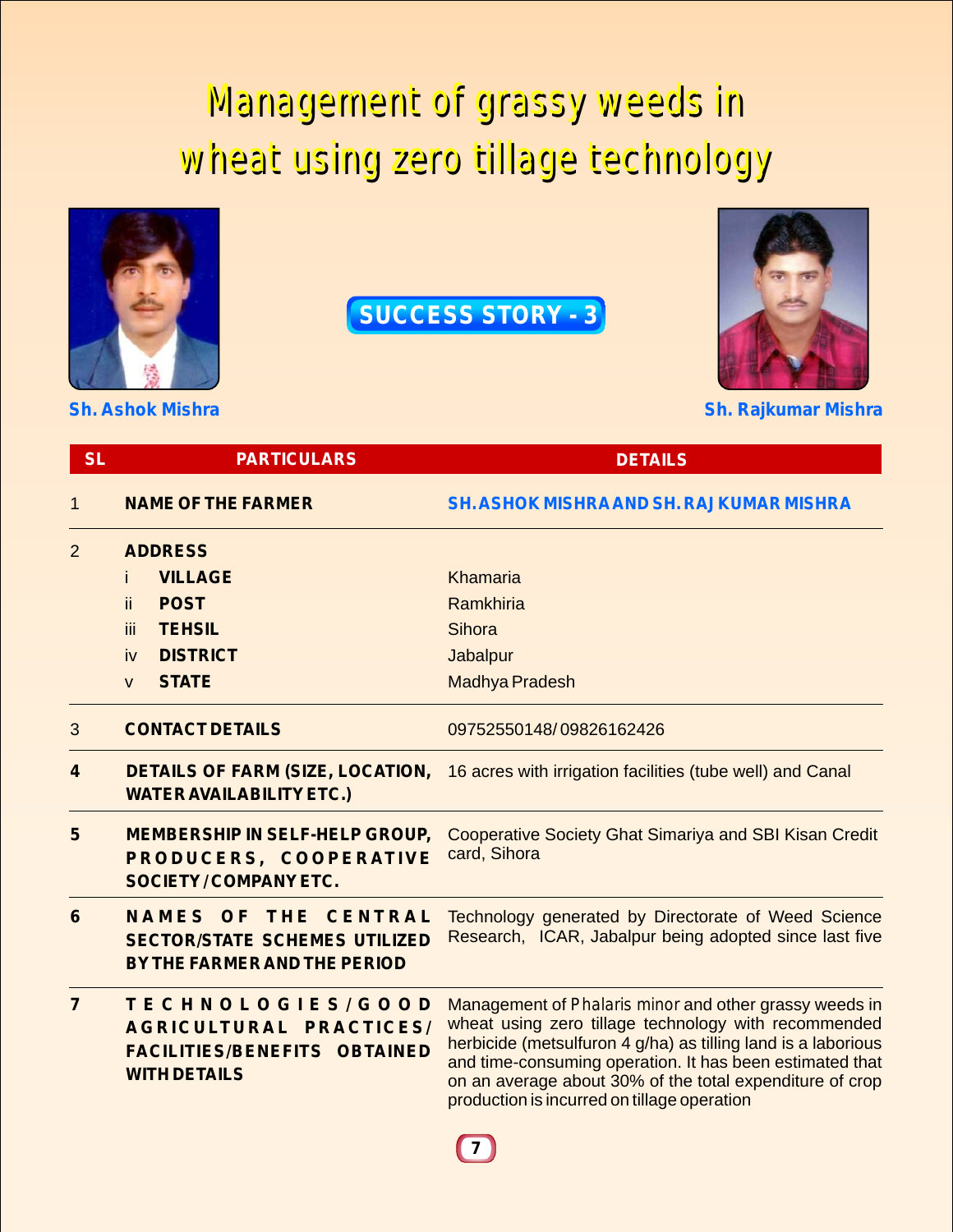## Management of grassy weeds in Management of grassy weeds in wheat using zero tillage technology wheat using zero tillage technology



**SUCCESS STORY - 3**



**Sh. Ashok Mishra Sh. Rajkumar Mishra**

| <b>SL</b>      | <b>PARTICULARS</b>                                                                                         | <b>DETAILS</b>                                                                                                                                                                                                                                                                                                                                         |
|----------------|------------------------------------------------------------------------------------------------------------|--------------------------------------------------------------------------------------------------------------------------------------------------------------------------------------------------------------------------------------------------------------------------------------------------------------------------------------------------------|
| 1              | <b>NAME OF THE FARMER</b>                                                                                  | <b>SH. ASHOK MISHRA AND SH. RAJKUMAR MISHRA</b>                                                                                                                                                                                                                                                                                                        |
| $\overline{2}$ | <b>ADDRESS</b>                                                                                             |                                                                                                                                                                                                                                                                                                                                                        |
|                | <b>VILLAGE</b>                                                                                             | Khamaria                                                                                                                                                                                                                                                                                                                                               |
|                | <b>POST</b><br>ii.                                                                                         | Ramkhiria                                                                                                                                                                                                                                                                                                                                              |
|                | iii.<br><b>TEHSIL</b>                                                                                      | Sihora                                                                                                                                                                                                                                                                                                                                                 |
|                | <b>DISTRICT</b><br>iv                                                                                      | Jabalpur                                                                                                                                                                                                                                                                                                                                               |
|                | <b>STATE</b><br>$\mathsf{V}$                                                                               | Madhya Pradesh                                                                                                                                                                                                                                                                                                                                         |
| 3              | <b>CONTACT DETAILS</b>                                                                                     | 09752550148/09826162426                                                                                                                                                                                                                                                                                                                                |
| 4              | <b>DETAILS OF FARM (SIZE, LOCATION,</b><br><b>WATER AVAILABILITY ETC.)</b>                                 | 16 acres with irrigation facilities (tube well) and Canal                                                                                                                                                                                                                                                                                              |
| 5              | <b>MEMBERSHIP IN SELF-HELP GROUP,</b><br>PRODUCERS, COOPERATIVE<br><b>SOCIETY/COMPANY ETC.</b>             | <b>Cooperative Society Ghat Simariya and SBI Kisan Credit</b><br>card, Sihora                                                                                                                                                                                                                                                                          |
| $6\phantom{1}$ | NAMES OF<br>THE<br><b>CENTRAL</b><br><b>SECTOR/STATE SCHEMES UTILIZED</b><br>BY THE FARMER AND THE PERIOD  | Technology generated by Directorate of Weed Science<br>Research, ICAR, Jabalpur being adopted since last five                                                                                                                                                                                                                                          |
| $\overline{7}$ | TECHNOLOGIES/GOOD<br>AGRICULTURAL PRACTICES/<br><b>FACILITIES/BENEFITS OBTAINED</b><br><b>WITH DETAILS</b> | Management of Phalaris minor and other grassy weeds in<br>wheat using zero tillage technology with recommended<br>herbicide (metsulfuron 4 g/ha) as tilling land is a laborious<br>and time-consuming operation. It has been estimated that<br>on an average about 30% of the total expenditure of crop<br>production is incurred on tillage operation |
|                |                                                                                                            |                                                                                                                                                                                                                                                                                                                                                        |

 $(7)$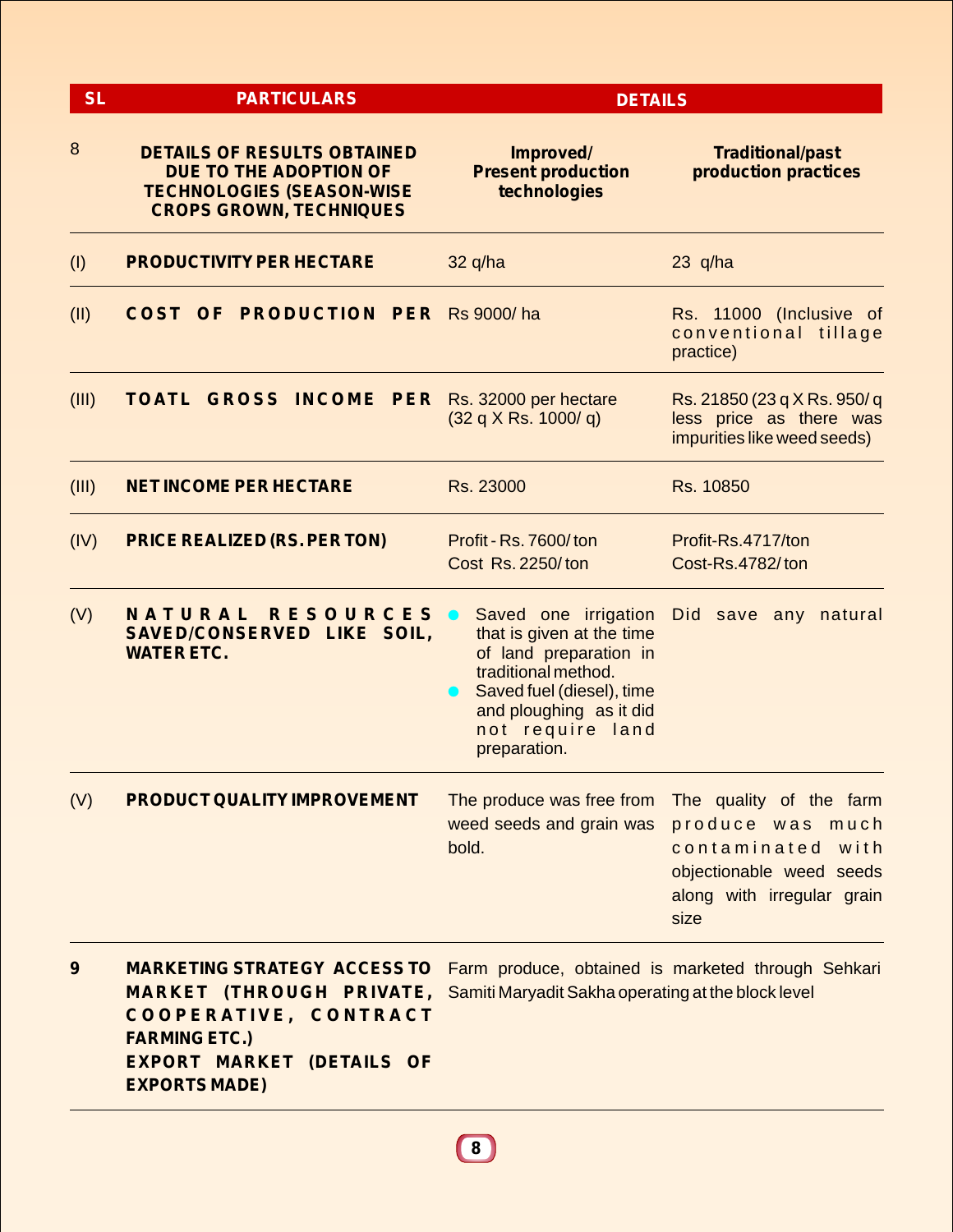| <b>SL</b><br><b>PARTICULARS</b> |                                                                                                                                                                                                                                        | <b>DETAILS</b>                                                                                                                                                                                 |                                                                                                                                    |  |
|---------------------------------|----------------------------------------------------------------------------------------------------------------------------------------------------------------------------------------------------------------------------------------|------------------------------------------------------------------------------------------------------------------------------------------------------------------------------------------------|------------------------------------------------------------------------------------------------------------------------------------|--|
| 8                               | <b>DETAILS OF RESULTS OBTAINED</b><br>DUE TO THE ADOPTION OF<br><b>TECHNOLOGIES (SEASON-WISE</b><br><b>CROPS GROWN, TECHNIQUES</b>                                                                                                     | Improved/<br><b>Present production</b><br>technologies                                                                                                                                         | <b>Traditional/past</b><br>production practices                                                                                    |  |
| (1)                             | <b>PRODUCTIVITY PER HECTARE</b>                                                                                                                                                                                                        | $32$ q/ha                                                                                                                                                                                      | $23$ q/ha                                                                                                                          |  |
| (II)                            | <b>COST OF PRODUCTION PER Rs 9000/ha</b>                                                                                                                                                                                               |                                                                                                                                                                                                | Rs. 11000 (Inclusive of<br>conventional tillage<br>practice)                                                                       |  |
| (III)                           | <b>TOATL GROSS INCOME PER Rs. 32000 per hectare</b>                                                                                                                                                                                    | (32 q X Rs. 1000/q)                                                                                                                                                                            | Rs. 21850 (23 q X Rs. 950/ q<br>less price as there was<br>impurities like weed seeds)                                             |  |
| (III)                           | <b>NET INCOME PER HECTARE</b>                                                                                                                                                                                                          | Rs. 23000                                                                                                                                                                                      | Rs. 10850                                                                                                                          |  |
| (IV)                            | <b>PRICE REALIZED (RS. PER TON)</b>                                                                                                                                                                                                    | Profit - Rs. 7600/ton<br><b>Cost Rs. 2250/ton</b>                                                                                                                                              | Profit-Rs.4717/ton<br>Cost-Rs.4782/ton                                                                                             |  |
| (V)                             | NATURAL<br><b>RESOURCES</b><br>SAVED/CONSERVED LIKE SOIL,<br><b>WATER ETC.</b>                                                                                                                                                         | Saved one irrigation<br>that is given at the time<br>of land preparation in<br>traditional method.<br>Saved fuel (diesel), time<br>and ploughing as it did<br>not require land<br>preparation. | Did save any natural                                                                                                               |  |
| (V)                             | PRODUCT QUALITY IMPROVEMENT                                                                                                                                                                                                            | The produce was free from<br>weed seeds and grain was<br>bold.                                                                                                                                 | The quality of the farm<br>produce was much<br>contaminated with<br>objectionable weed seeds<br>along with irregular grain<br>size |  |
| 9                               | <b>MARKETING STRATEGY ACCESS TO</b><br><b>MARKET</b> (THROUGH PRIVATE, Samiti Maryadit Sakha operating at the block level<br>COOPERATIVE, CONTRACT<br><b>FARMING ETC.)</b><br><b>EXPORT MARKET (DETAILS OF</b><br><b>EXPORTS MADE)</b> |                                                                                                                                                                                                | Farm produce, obtained is marketed through Sehkari                                                                                 |  |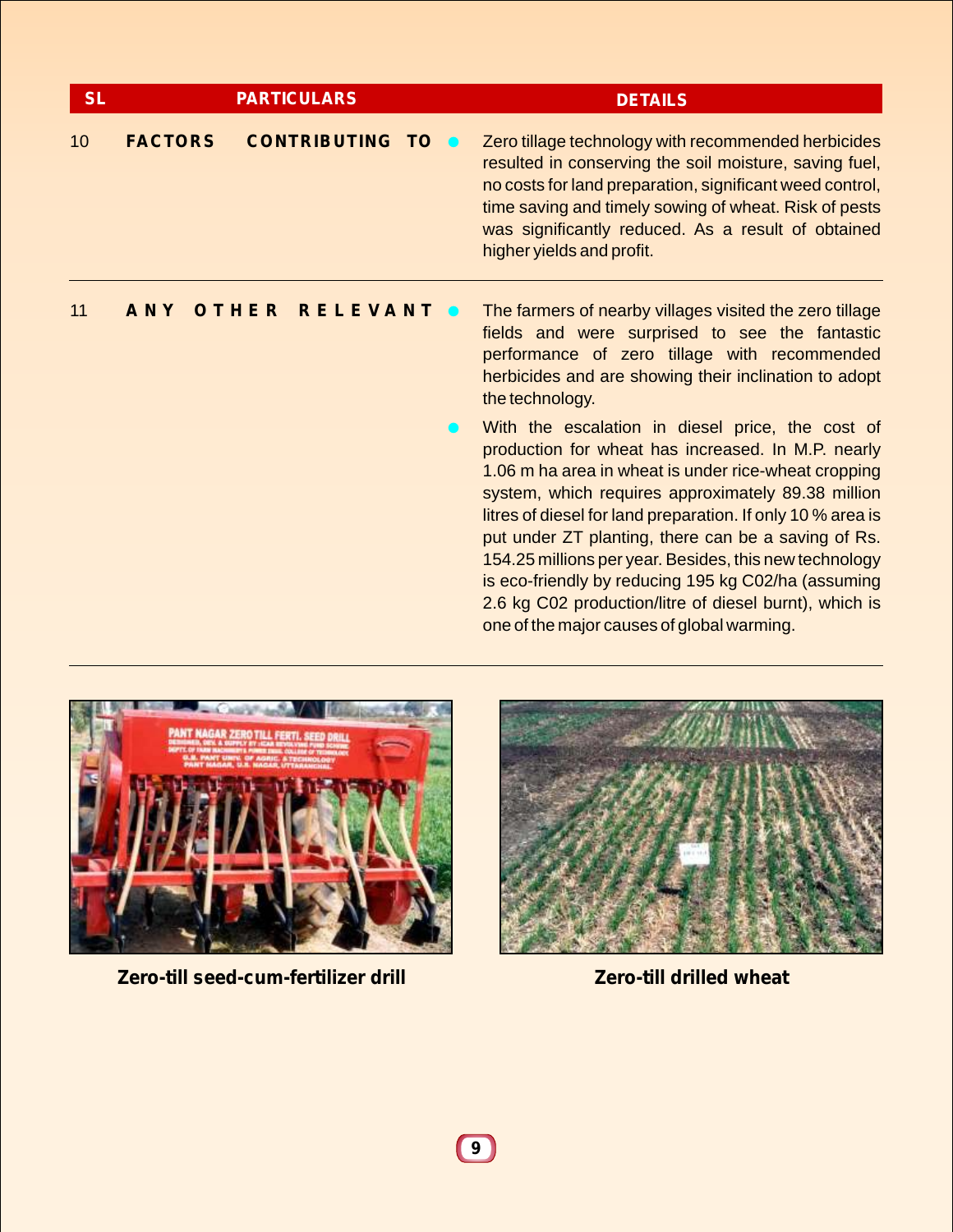| <b>SL</b> |                | <b>PARTICULARS</b>       |  | <b>DETAILS</b>                                                                                                                                                                                                                                                                                                                                                                                                                                                                                                                                                      |
|-----------|----------------|--------------------------|--|---------------------------------------------------------------------------------------------------------------------------------------------------------------------------------------------------------------------------------------------------------------------------------------------------------------------------------------------------------------------------------------------------------------------------------------------------------------------------------------------------------------------------------------------------------------------|
| 10        | <b>FACTORS</b> | <b>CONTRIBUTING TO @</b> |  | Zero tillage technology with recommended herbicides<br>resulted in conserving the soil moisture, saving fuel,<br>no costs for land preparation, significant weed control,<br>time saving and timely sowing of wheat. Risk of pests<br>was significantly reduced. As a result of obtained<br>higher yields and profit.                                                                                                                                                                                                                                               |
| 11        | <b>ANY</b>     | OTHER<br><b>RELEVANT</b> |  | The farmers of nearby villages visited the zero tillage<br>fields and were surprised to see the fantastic<br>performance of zero tillage with recommended<br>herbicides and are showing their inclination to adopt<br>the technology.                                                                                                                                                                                                                                                                                                                               |
|           |                |                          |  | With the escalation in diesel price, the cost of<br>production for wheat has increased. In M.P. nearly<br>1.06 m ha area in wheat is under rice-wheat cropping<br>system, which requires approximately 89.38 million<br>litres of diesel for land preparation. If only 10 % area is<br>put under ZT planting, there can be a saving of Rs.<br>154.25 millions per year. Besides, this new technology<br>is eco-friendly by reducing 195 kg C02/ha (assuming<br>2.6 kg C02 production/litre of diesel burnt), which is<br>one of the major causes of global warming. |



**Zero-till seed-cum-fertilizer drill Zero-till drilled wheat**

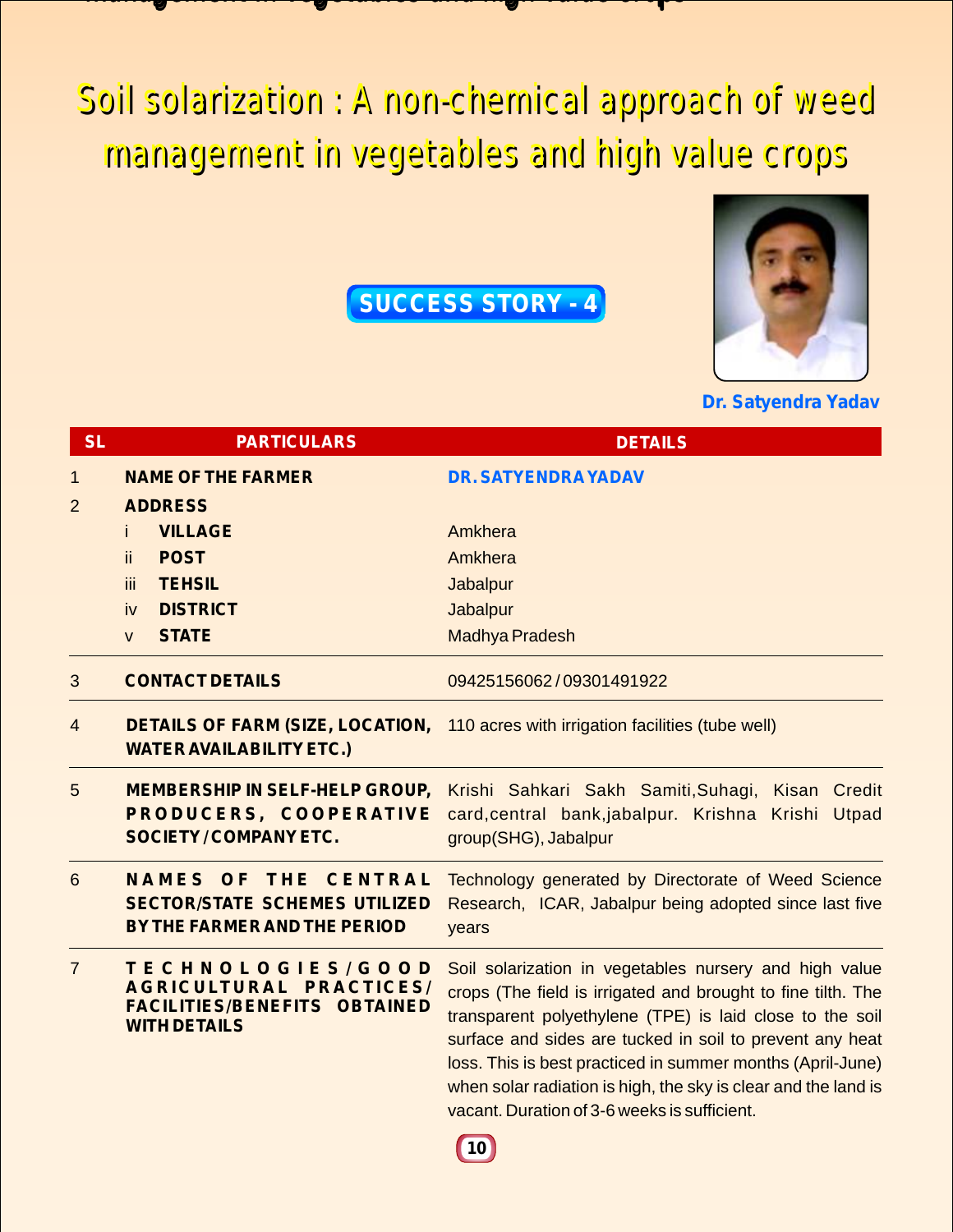### management in version and high value construction in version and high value crops and high value crops and high man den die begangement in die die deutsche deutschen der dem den der der der der der der der der den der der

Soil solarization : A non-chemical approach of weed Soil solarization : A non-chemical approach of weed management in vegetables and high value crops management in vegetables and high value crops

**SUCCESS STORY - 4**



**Dr. Satyendra Yadav**

| <b>SL</b>      | <b>PARTICULARS</b>                                                                                         | <b>DETAILS</b>                                                                                                                                                                                                                                                                                                                                                                                                                 |
|----------------|------------------------------------------------------------------------------------------------------------|--------------------------------------------------------------------------------------------------------------------------------------------------------------------------------------------------------------------------------------------------------------------------------------------------------------------------------------------------------------------------------------------------------------------------------|
| 1              | <b>NAME OF THE FARMER</b>                                                                                  | <b>DR. SATYENDRA YADAV</b>                                                                                                                                                                                                                                                                                                                                                                                                     |
| $\overline{2}$ | <b>ADDRESS</b>                                                                                             |                                                                                                                                                                                                                                                                                                                                                                                                                                |
|                | <b>VILLAGE</b><br>Ť                                                                                        | Amkhera                                                                                                                                                                                                                                                                                                                                                                                                                        |
|                | ii.<br><b>POST</b>                                                                                         | Amkhera                                                                                                                                                                                                                                                                                                                                                                                                                        |
|                | <b>iii</b><br><b>TEHSIL</b>                                                                                | Jabalpur                                                                                                                                                                                                                                                                                                                                                                                                                       |
|                | <b>DISTRICT</b><br>iv                                                                                      | Jabalpur                                                                                                                                                                                                                                                                                                                                                                                                                       |
|                | <b>STATE</b><br>$\mathsf{V}$                                                                               | <b>Madhya Pradesh</b>                                                                                                                                                                                                                                                                                                                                                                                                          |
| 3              | <b>CONTACT DETAILS</b>                                                                                     | 09425156062/09301491922                                                                                                                                                                                                                                                                                                                                                                                                        |
| 4              | <b>DETAILS OF FARM (SIZE, LOCATION,</b><br><b>WATER AVAILABILITY ETC.)</b>                                 | 110 acres with irrigation facilities (tube well)                                                                                                                                                                                                                                                                                                                                                                               |
| 5              | <b>MEMBERSHIP IN SELF-HELP GROUP,</b><br>PRODUCERS, COOPERATIVE<br><b>SOCIETY/COMPANYETC.</b>              | Krishi Sahkari Sakh Samiti, Suhagi, Kisan Credit<br>card, central bank, jabalpur. Krishna Krishi<br>Utpad<br>group(SHG), Jabalpur                                                                                                                                                                                                                                                                                              |
| 6              | <b>NAMES OF THE CENTRAL</b><br><b>SECTOR/STATE SCHEMES UTILIZED</b><br>BY THE FARMER AND THE PERIOD        | Technology generated by Directorate of Weed Science<br>Research, ICAR, Jabalpur being adopted since last five<br>years                                                                                                                                                                                                                                                                                                         |
| $\overline{7}$ | TECHNOLOGIES/GOOD<br>AGRICULTURAL PRACTICES/<br><b>FACILITIES/BENEFITS OBTAINED</b><br><b>WITH DETAILS</b> | Soil solarization in vegetables nursery and high value<br>crops (The field is irrigated and brought to fine tilth. The<br>transparent polyethylene (TPE) is laid close to the soil<br>surface and sides are tucked in soil to prevent any heat<br>loss. This is best practiced in summer months (April-June)<br>when solar radiation is high, the sky is clear and the land is<br>vacant. Duration of 3-6 weeks is sufficient. |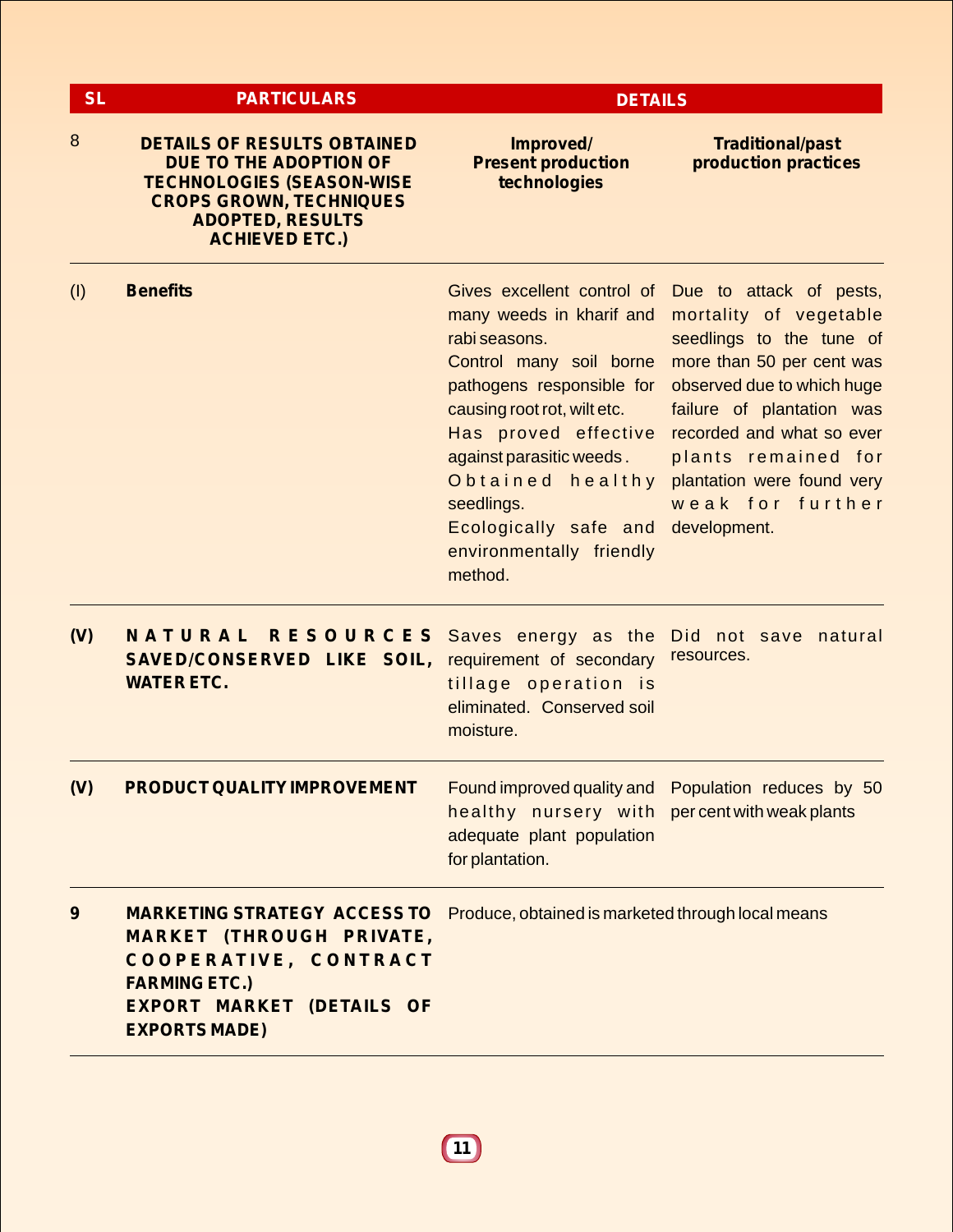| <b>SL</b> | <b>PARTICULARS</b>                                                                                                                                                                     | <b>DETAILS</b>                                                                                                                                                                                                                                                                         |                                                                                                                                                                                                                                                                                                                        |  |  |
|-----------|----------------------------------------------------------------------------------------------------------------------------------------------------------------------------------------|----------------------------------------------------------------------------------------------------------------------------------------------------------------------------------------------------------------------------------------------------------------------------------------|------------------------------------------------------------------------------------------------------------------------------------------------------------------------------------------------------------------------------------------------------------------------------------------------------------------------|--|--|
| 8         | <b>DETAILS OF RESULTS OBTAINED</b><br>DUE TO THE ADOPTION OF<br><b>TECHNOLOGIES (SEASON-WISE</b><br><b>CROPS GROWN, TECHNIQUES</b><br><b>ADOPTED, RESULTS</b><br><b>ACHIEVED ETC.)</b> | Improved/<br><b>Present production</b><br>technologies                                                                                                                                                                                                                                 | <b>Traditional/past</b><br>production practices                                                                                                                                                                                                                                                                        |  |  |
| (1)       | <b>Benefits</b>                                                                                                                                                                        | many weeds in kharif and<br>rabi seasons.<br>Control many soil borne<br>pathogens responsible for<br>causing root rot, wilt etc.<br>Has proved effective<br>against parasitic weeds.<br>Obtained healthy<br>seedlings.<br>Ecologically safe and<br>environmentally friendly<br>method. | Gives excellent control of Due to attack of pests,<br>mortality of vegetable<br>seedlings to the tune of<br>more than 50 per cent was<br>observed due to which huge<br>failure of plantation was<br>recorded and what so ever<br>plants remained for<br>plantation were found very<br>weak for further<br>development. |  |  |
| (V)       | NATURAL RESOURCES<br>SAVED/CONSERVED LIKE SOIL,<br><b>WATER ETC.</b>                                                                                                                   | Saves energy as the<br>requirement of secondary<br>tillage operation is<br>eliminated. Conserved soil<br>moisture.                                                                                                                                                                     | Did not save natural<br>resources.                                                                                                                                                                                                                                                                                     |  |  |
| (V)       | <b>PRODUCT QUALITY IMPROVEMENT</b>                                                                                                                                                     | healthy nursery with percentwithweakplants<br>adequate plant population<br>for plantation.                                                                                                                                                                                             | Found improved quality and Population reduces by 50                                                                                                                                                                                                                                                                    |  |  |
| 9         | <b>MARKETING STRATEGY ACCESS TO</b><br><b>MARKET (THROUGH PRIVATE,</b><br>COOPERATIVE, CONTRACT<br><b>FARMING ETC.)</b><br><b>EXPORT MARKET (DETAILS OF</b><br><b>EXPORTS MADE)</b>    | Produce, obtained is marketed through local means                                                                                                                                                                                                                                      |                                                                                                                                                                                                                                                                                                                        |  |  |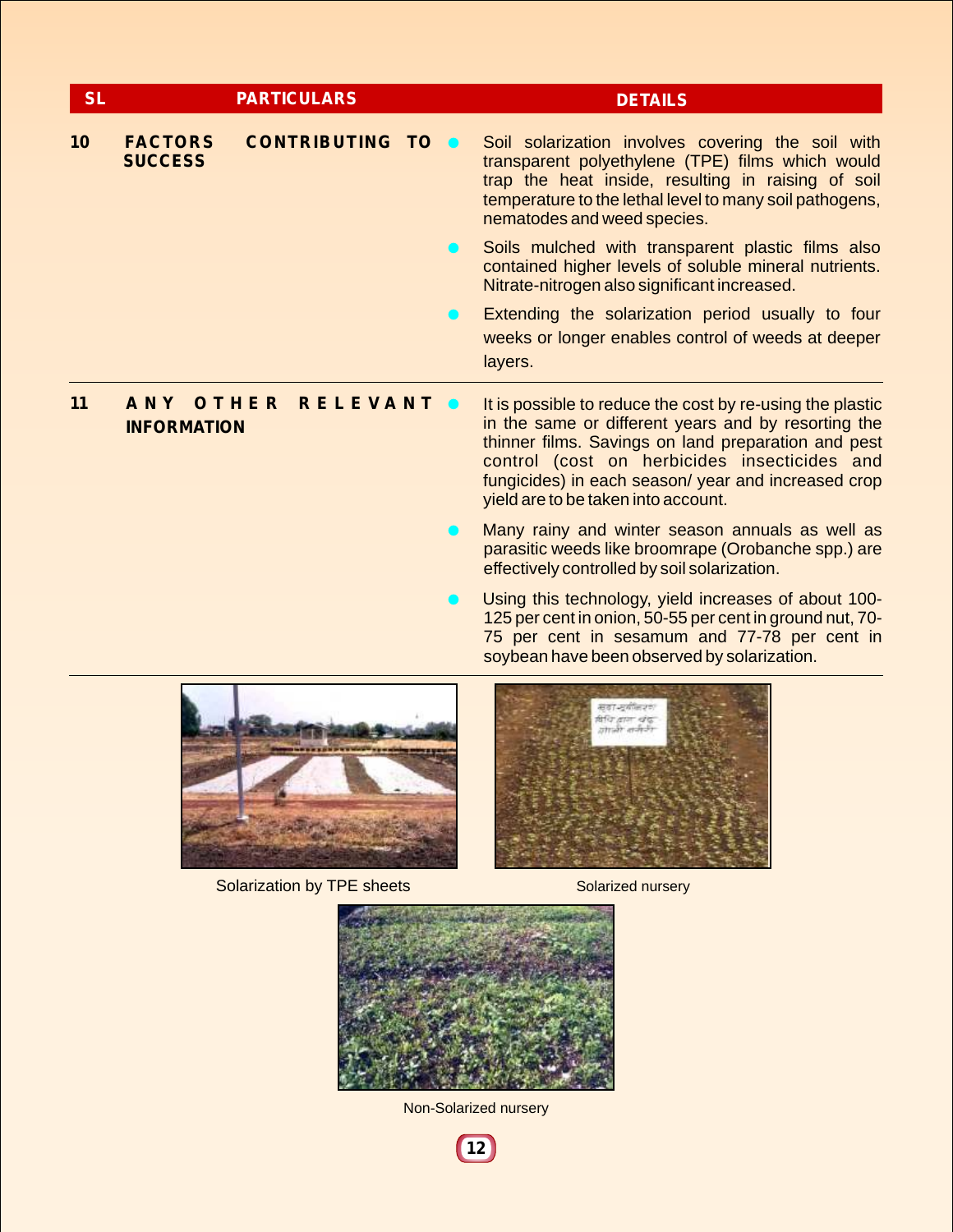| <b>SL</b> |                                  | <b>PARTICULARS</b>       | <b>DETAILS</b>                                                                                                                                                                                                                                                                                                        |
|-----------|----------------------------------|--------------------------|-----------------------------------------------------------------------------------------------------------------------------------------------------------------------------------------------------------------------------------------------------------------------------------------------------------------------|
| 10        | <b>FACTORS</b><br><b>SUCCESS</b> | <b>CONTRIBUTING TO O</b> | Soil solarization involves covering the soil with<br>transparent polyethylene (TPE) films which would<br>trap the heat inside, resulting in raising of soil<br>temperature to the lethal level to many soil pathogens,<br>nematodes and weed species.                                                                 |
|           |                                  |                          | Soils mulched with transparent plastic films also<br>contained higher levels of soluble mineral nutrients.<br>Nitrate-nitrogen also significant increased.                                                                                                                                                            |
|           |                                  |                          | Extending the solarization period usually to four<br>weeks or longer enables control of weeds at deeper<br>layers.                                                                                                                                                                                                    |
| 11        | ANY OTHER<br><b>INFORMATION</b>  | <b>RELEVANT</b>          | It is possible to reduce the cost by re-using the plastic<br>in the same or different years and by resorting the<br>thinner films. Savings on land preparation and pest<br>control (cost on herbicides insecticides and<br>fungicides) in each season/ year and increased crop<br>yield are to be taken into account. |

- **I** Many rainy and winter season annuals as well as parasitic weeds like broomrape (Orobanche spp.) are effectively controlled by soil solarization.
- **O** Using this technology, yield increases of about 100-125 per cent in onion, 50-55 per cent in ground nut, 70- 75 per cent in sesamum and 77-78 per cent in soybean have been observed by solarization.



Solarization by TPE sheets Solarized nursery





Non-Solarized nursery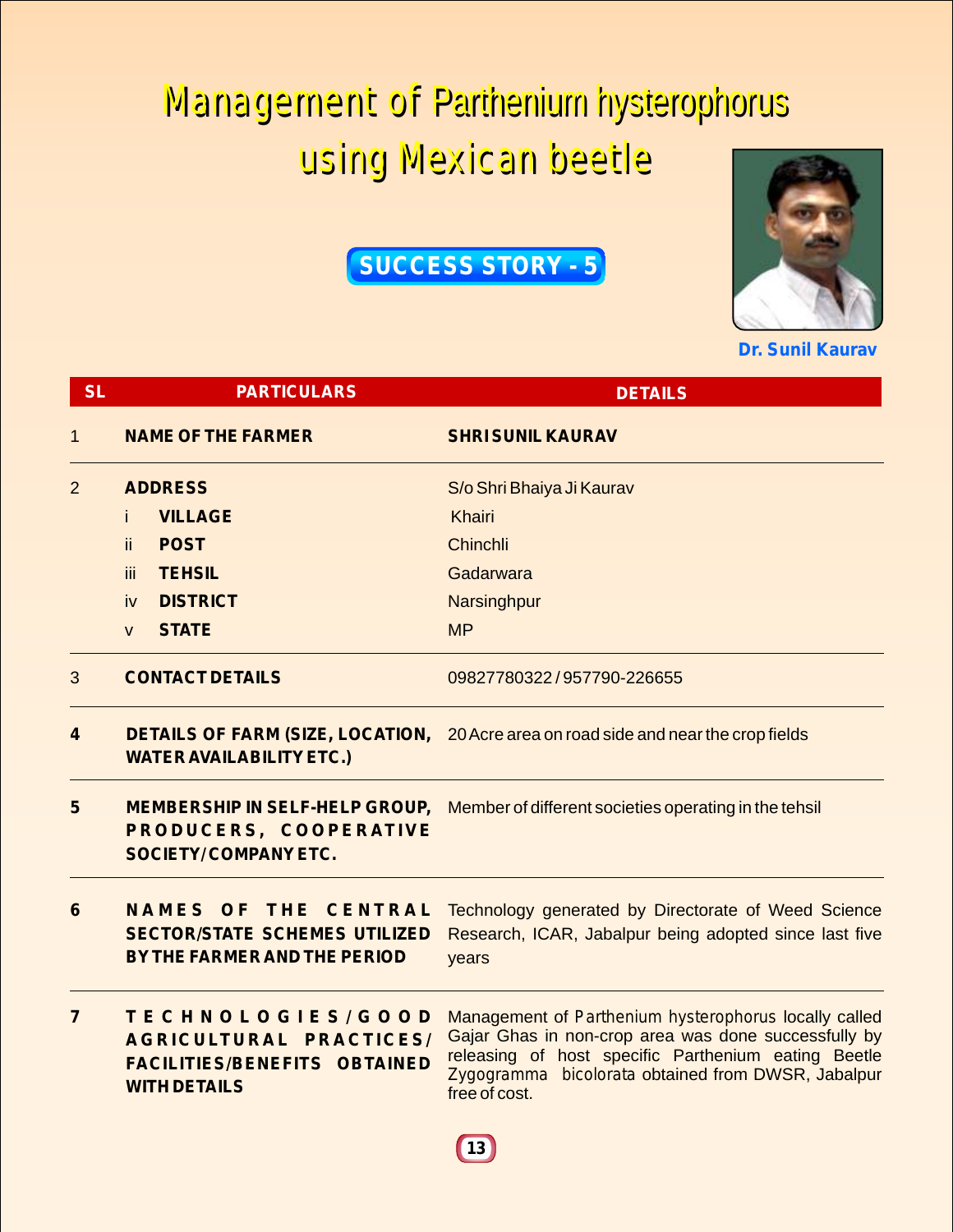# Management of Parthenium hysterophorus Management of Parthenium hysterophorus

## using Mexican beetle using Mexican beetle

## **SUCCESS STORY - 5**



**Dr. Sunil Kaurav**

| <b>SL</b>       | <b>PARTICULARS</b>                                                                                         | <b>DETAILS</b>                                                                                                                                                                                                                              |  |
|-----------------|------------------------------------------------------------------------------------------------------------|---------------------------------------------------------------------------------------------------------------------------------------------------------------------------------------------------------------------------------------------|--|
| 1               | <b>NAME OF THE FARMER</b>                                                                                  | <b>SHRI SUNIL KAURAV</b>                                                                                                                                                                                                                    |  |
| $\overline{2}$  | <b>ADDRESS</b>                                                                                             | S/o Shri Bhaiya Ji Kaurav                                                                                                                                                                                                                   |  |
|                 | <b>VILLAGE</b><br>Ť.                                                                                       | <b>Khairi</b>                                                                                                                                                                                                                               |  |
|                 | <b>POST</b><br>ii.                                                                                         | Chinchli                                                                                                                                                                                                                                    |  |
|                 | <b>TEHSIL</b><br>iii.                                                                                      | Gadarwara                                                                                                                                                                                                                                   |  |
|                 | <b>DISTRICT</b><br>iv                                                                                      | Narsinghpur                                                                                                                                                                                                                                 |  |
|                 | <b>STATE</b><br>$\mathsf{V}$                                                                               | <b>MP</b>                                                                                                                                                                                                                                   |  |
| 3               | <b>CONTACT DETAILS</b>                                                                                     | 09827780322/957790-226655                                                                                                                                                                                                                   |  |
| 4               | <b>WATER AVAILABILITY ETC.)</b>                                                                            | <b>DETAILS OF FARM (SIZE, LOCATION, 20 Acre area on road side and near the crop fields</b>                                                                                                                                                  |  |
| 5               | <b>MEMBERSHIP IN SELF-HELP GROUP,</b><br>PRODUCERS, COOPERATIVE<br><b>SOCIETY/COMPANY ETC.</b>             | Member of different societies operating in the tehsil                                                                                                                                                                                       |  |
| $6\phantom{1}6$ | <b>NAMES OF THE CENTRAL</b><br><b>SECTOR/STATE SCHEMES UTILIZED</b><br><b>BY THE FARMER AND THE PERIOD</b> | Technology generated by Directorate of Weed Science<br>Research, ICAR, Jabalpur being adopted since last five<br>years                                                                                                                      |  |
| $\overline{7}$  | TECHNOLOGIES/GOOD<br>AGRICULTURAL PRACTICES/<br><b>FACILITIES/BENEFITS OBTAINED</b><br><b>WITH DETAILS</b> | Management of Parthenium hysterophorus locally called<br>Gajar Ghas in non-crop area was done successfully by<br>releasing of host specific Parthenium eating Beetle<br>Zygogramma bicolorata obtained from DWSR, Jabalpur<br>free of cost. |  |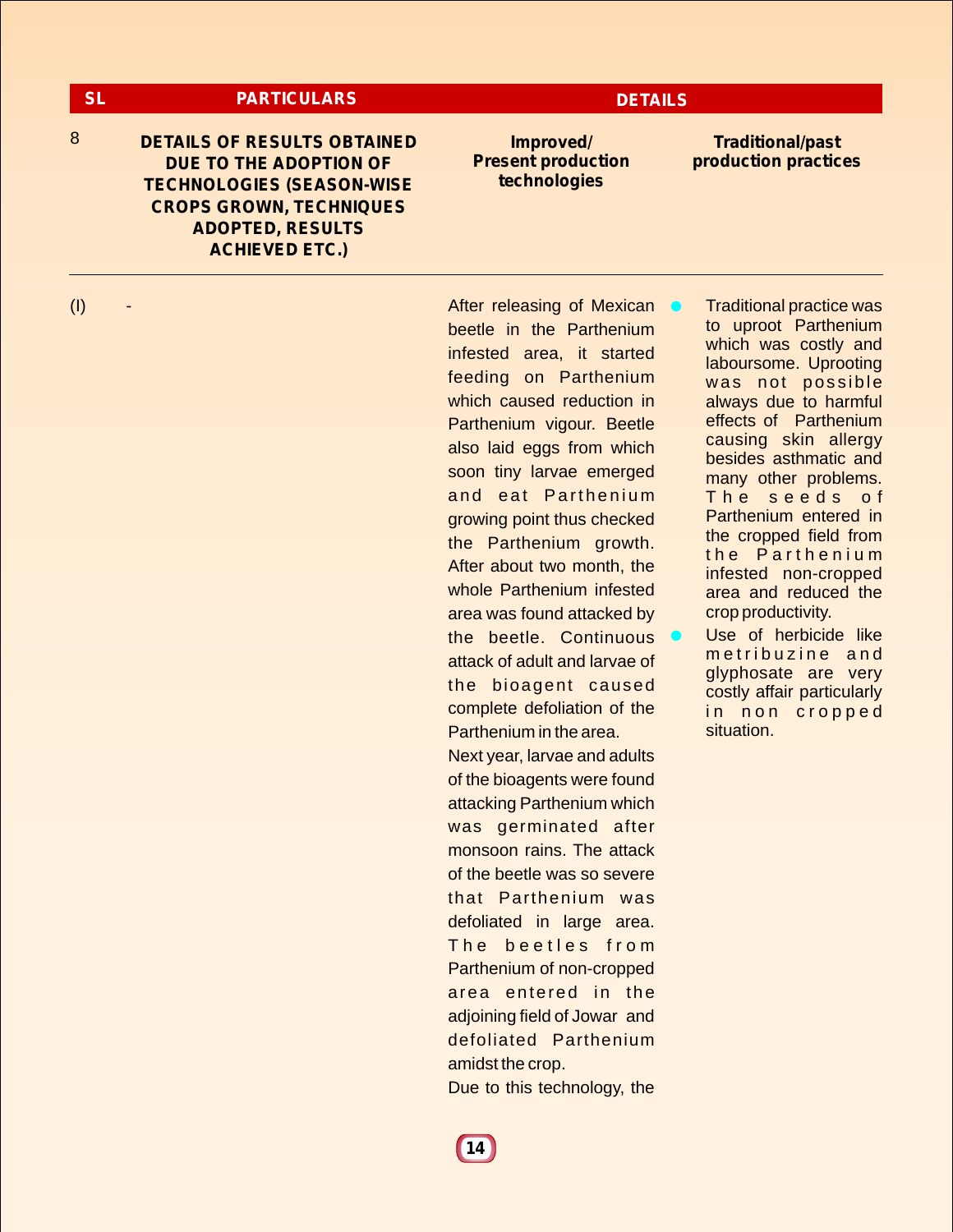### **SL PARTICULARS DETAILS**

8 **IMPROVED BETAILS OF RESULTS OBTAINED Improved DUE TO THE ADOPTION OF TECHNOLOGIES (SEASON-WISE CROPS GROWN, TECHNIQUES ADOPTED, RESULTS ACHIEVED ETC.)**

**Present production technologies**

**Traditional/past production practices**

(I) - **After releasing of Mexican** beetle in the Parthenium infested area, it started feeding on Parthenium which caused reduction in Parthenium vigour. Beetle also laid eggs from which soon tiny larvae emerged and eat Parthenium growing point thus checked the Parthenium growth. After about two month, the whole Parthenium infested area was found attacked by the beetle. Continuous attack of adult and larvae of the bioagent caused complete defoliation of the Parthenium in the area. Next year, larvae and adults

of the bioagents were found attacking Parthenium which was germinated after monsoon rains. The attack of the beetle was so severe that Parthenium was defoliated in large area. The beetles from Parthenium of non-cropped area entered in the adjoining field of Jowar and defoliated Parthenium amidst the crop.

Due to this technology, the

**• Traditional practice was** to uproot Parthenium which was costly and laboursome. Uprooting was not possible always due to harmful effects of Parthenium causing skin allergy besides asthmatic and many other problems. The seeds of Parthenium entered in the cropped field from the Parthenium infested non-cropped area and reduced the crop productivity.

**I** Use of herbicide like metribuzine and glyphosate are very costly affair particularly in non cropped situation.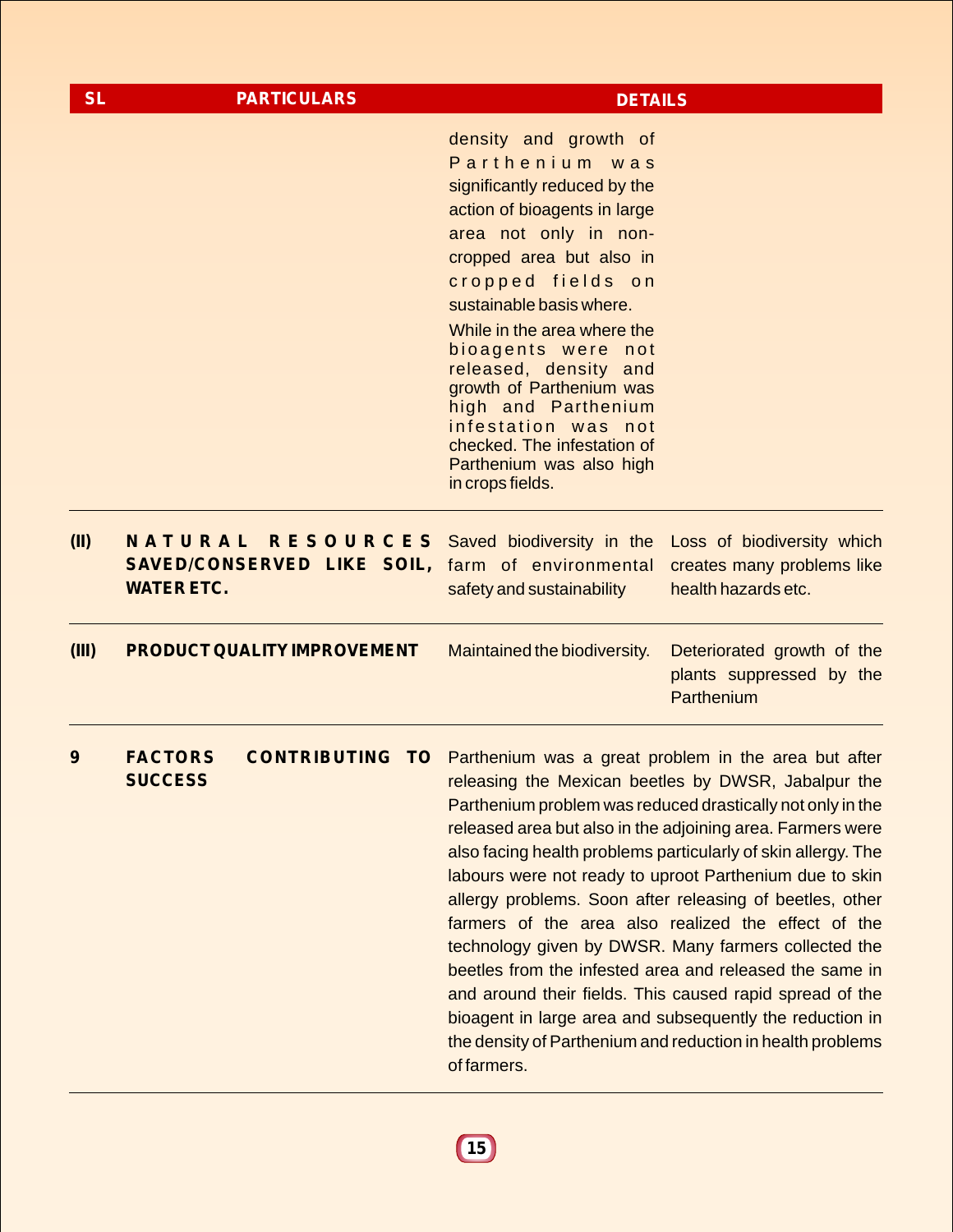| <b>SL</b> | <b>PARTICULARS</b>                                                                                                                                            | <b>DETAILS</b>                                                                                                                                                                                                                      |                                                                                                                                                                                                                                                                                                                                                                                                                                                                                                                                                                                                                                                                                                                                         |
|-----------|---------------------------------------------------------------------------------------------------------------------------------------------------------------|-------------------------------------------------------------------------------------------------------------------------------------------------------------------------------------------------------------------------------------|-----------------------------------------------------------------------------------------------------------------------------------------------------------------------------------------------------------------------------------------------------------------------------------------------------------------------------------------------------------------------------------------------------------------------------------------------------------------------------------------------------------------------------------------------------------------------------------------------------------------------------------------------------------------------------------------------------------------------------------------|
|           |                                                                                                                                                               | density and growth of<br>Parthenium was<br>significantly reduced by the<br>action of bioagents in large<br>area not only in non-<br>cropped area but also in<br>cropped fields on<br>sustainable basis where.                       |                                                                                                                                                                                                                                                                                                                                                                                                                                                                                                                                                                                                                                                                                                                                         |
|           |                                                                                                                                                               | While in the area where the<br>bioagents were not<br>released, density and<br>growth of Parthenium was<br>high and Parthenium<br>infestation was not<br>checked. The infestation of<br>Parthenium was also high<br>in crops fields. |                                                                                                                                                                                                                                                                                                                                                                                                                                                                                                                                                                                                                                                                                                                                         |
| (II)      | <b>NATURAL RESOURCES</b> Saved biodiversity in the Loss of biodiversity which<br><b>SAVED/CONSERVED LIKE SOIL, farm of environmental</b><br><b>WATER ETC.</b> | safety and sustainability                                                                                                                                                                                                           | creates many problems like<br>health hazards etc.                                                                                                                                                                                                                                                                                                                                                                                                                                                                                                                                                                                                                                                                                       |
| (III)     | PRODUCT QUALITY IMPROVEMENT                                                                                                                                   | Maintained the biodiversity.                                                                                                                                                                                                        | Deteriorated growth of the<br>plants suppressed by the<br>Parthenium                                                                                                                                                                                                                                                                                                                                                                                                                                                                                                                                                                                                                                                                    |
| 9         | <b>FACTORS</b><br><b>SUCCESS</b>                                                                                                                              | <b>CONTRIBUTING TO</b> Parthenium was a great problem in the area but after<br>of farmers.                                                                                                                                          | releasing the Mexican beetles by DWSR, Jabalpur the<br>Parthenium problem was reduced drastically not only in the<br>released area but also in the adjoining area. Farmers were<br>also facing health problems particularly of skin allergy. The<br>labours were not ready to uproot Parthenium due to skin<br>allergy problems. Soon after releasing of beetles, other<br>farmers of the area also realized the effect of the<br>technology given by DWSR. Many farmers collected the<br>beetles from the infested area and released the same in<br>and around their fields. This caused rapid spread of the<br>bioagent in large area and subsequently the reduction in<br>the density of Parthenium and reduction in health problems |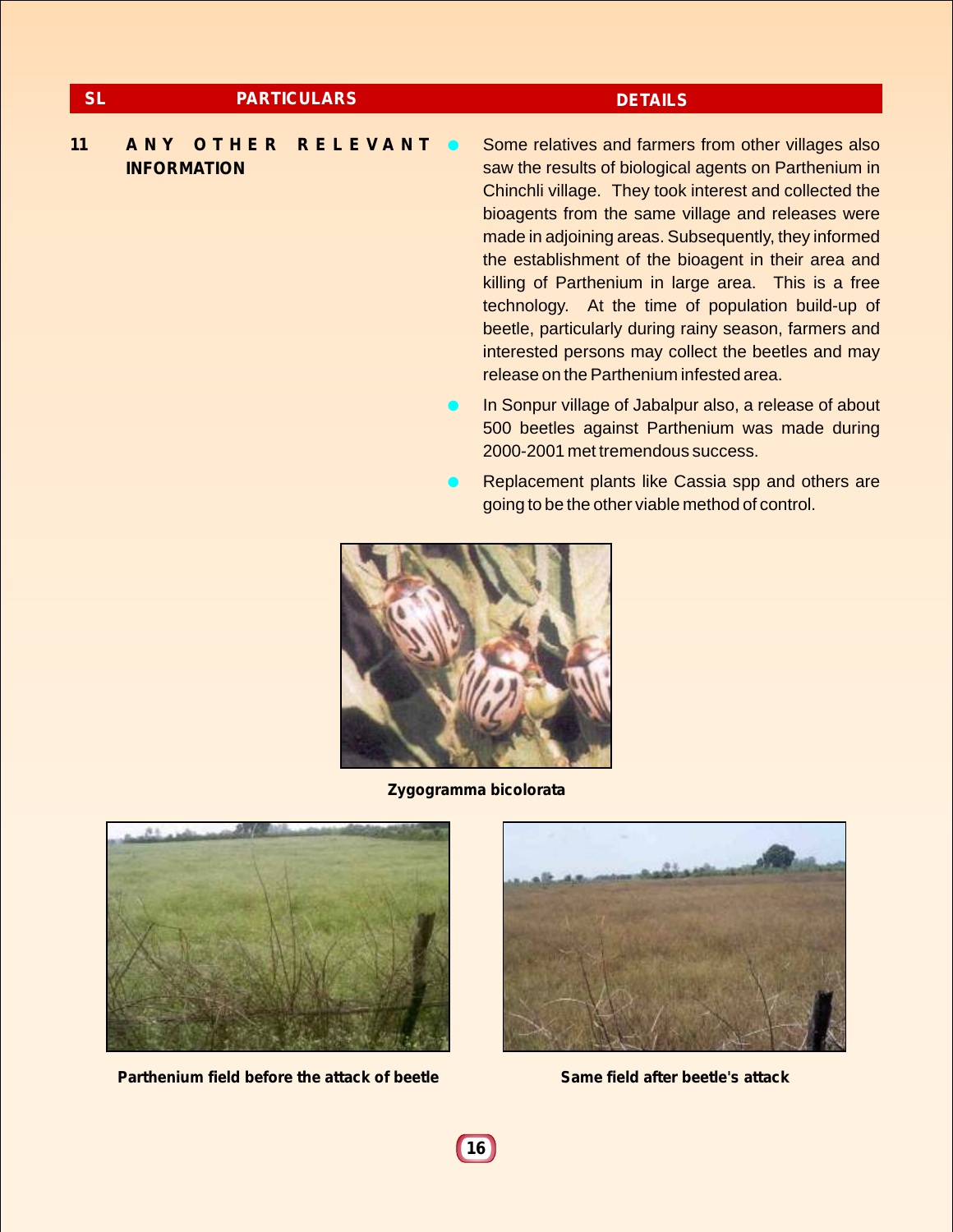### **SL PARTICULARS DETAILS**

### **11 A N Y O T H E R R E L E V A N T INFORMATION**

• Some relatives and farmers from other villages also saw the results of biological agents on Parthenium in Chinchli village. They took interest and collected the bioagents from the same village and releases were made in adjoining areas. Subsequently, they informed the establishment of the bioagent in their area and killing of Parthenium in large area. This is a free technology. At the time of population build-up of beetle, particularly during rainy season, farmers and interested persons may collect the beetles and may release on the Parthenium infested area.

- **In Sonpur village of Jabalpur also, a release of about** 500 beetles against Parthenium was made during 2000-2001 met tremendous success.
- **EXA** Replacement plants like Cassia spp and others are going to be the other viable method of control.



**Zygogramma bicolorata**



**Parthenium field before the attack of beetle Same field after beetle's attack**

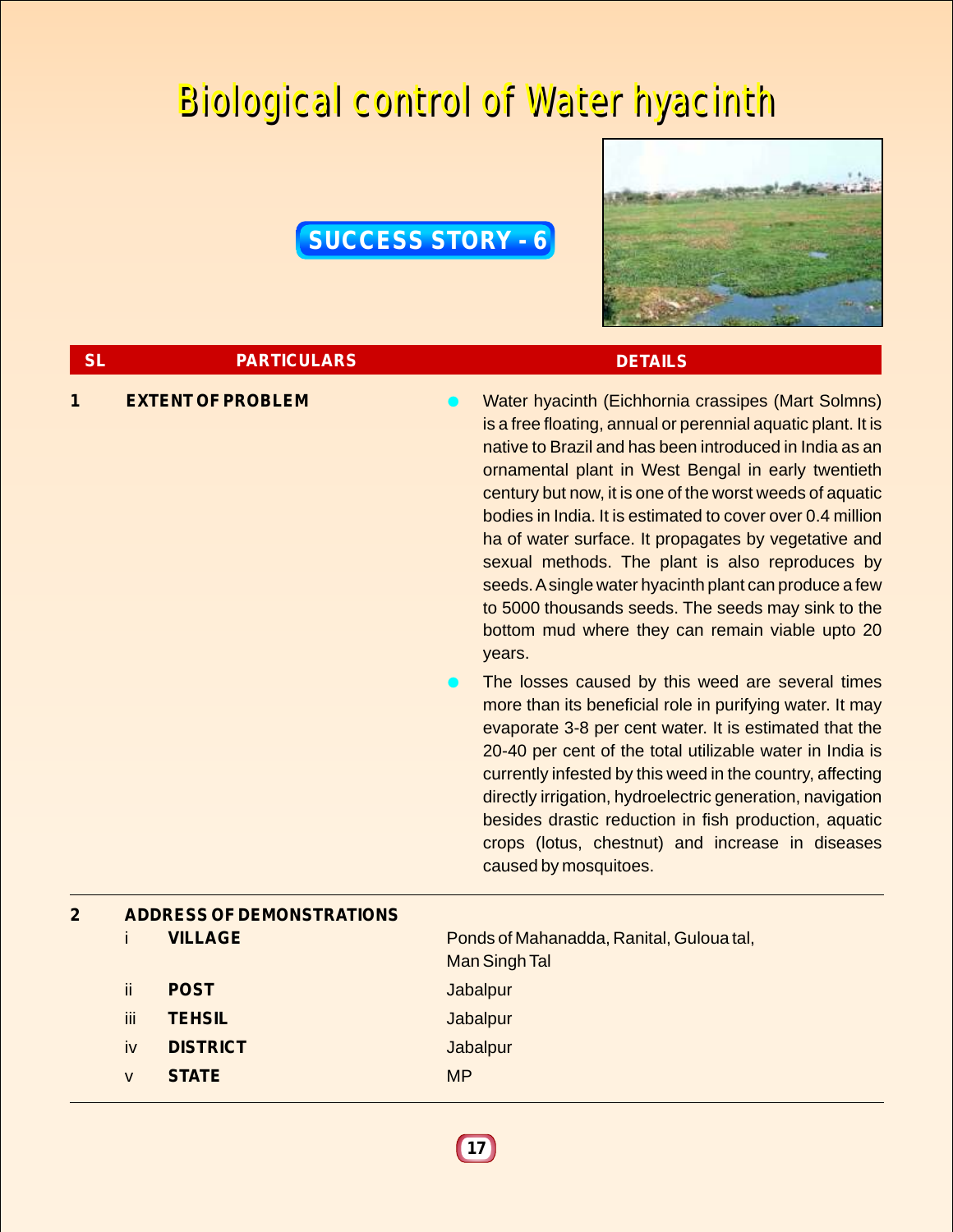## Biological control of Water hyacinth Biological control of Water hyacinth

### **SUCCESS STORY - 6**



| <b>SL</b>      |     | <b>PARTICULARS</b>               | <b>DETAILS</b>                                                                                                                                                                                                                                                                                                                                                                                                                                                                                                                                                                                                                                                                                                                                                                                                                                                                                                                                                                                                                                                                                                                                              |
|----------------|-----|----------------------------------|-------------------------------------------------------------------------------------------------------------------------------------------------------------------------------------------------------------------------------------------------------------------------------------------------------------------------------------------------------------------------------------------------------------------------------------------------------------------------------------------------------------------------------------------------------------------------------------------------------------------------------------------------------------------------------------------------------------------------------------------------------------------------------------------------------------------------------------------------------------------------------------------------------------------------------------------------------------------------------------------------------------------------------------------------------------------------------------------------------------------------------------------------------------|
| 1              |     | <b>EXTENT OF PROBLEM</b>         | Water hyacinth (Eichhornia crassipes (Mart Solmns)<br>is a free floating, annual or perennial aquatic plant. It is<br>native to Brazil and has been introduced in India as an<br>ornamental plant in West Bengal in early twentieth<br>century but now, it is one of the worst weeds of aquatic<br>bodies in India. It is estimated to cover over 0.4 million<br>ha of water surface. It propagates by vegetative and<br>sexual methods. The plant is also reproduces by<br>seeds. A single water hyacinth plant can produce a few<br>to 5000 thousands seeds. The seeds may sink to the<br>bottom mud where they can remain viable upto 20<br>years.<br>The losses caused by this weed are several times<br>more than its beneficial role in purifying water. It may<br>evaporate 3-8 per cent water. It is estimated that the<br>20-40 per cent of the total utilizable water in India is<br>currently infested by this weed in the country, affecting<br>directly irrigation, hydroelectric generation, navigation<br>besides drastic reduction in fish production, aquatic<br>crops (lotus, chestnut) and increase in diseases<br>caused by mosquitoes. |
| $\overline{2}$ |     | <b>ADDRESS OF DEMONSTRATIONS</b> |                                                                                                                                                                                                                                                                                                                                                                                                                                                                                                                                                                                                                                                                                                                                                                                                                                                                                                                                                                                                                                                                                                                                                             |
|                | Ť   | <b>VILLAGE</b>                   | Ponds of Mahanadda, Ranital, Guloua tal,<br><b>Man Singh Tal</b>                                                                                                                                                                                                                                                                                                                                                                                                                                                                                                                                                                                                                                                                                                                                                                                                                                                                                                                                                                                                                                                                                            |
|                | ii. | <b>POST</b>                      | <b>Jabalpur</b>                                                                                                                                                                                                                                                                                                                                                                                                                                                                                                                                                                                                                                                                                                                                                                                                                                                                                                                                                                                                                                                                                                                                             |
|                | iii | <b>TEHSIL</b>                    | <b>Jabalpur</b>                                                                                                                                                                                                                                                                                                                                                                                                                                                                                                                                                                                                                                                                                                                                                                                                                                                                                                                                                                                                                                                                                                                                             |
|                | iv  | <b>DISTRICT</b>                  | <b>Jabalpur</b>                                                                                                                                                                                                                                                                                                                                                                                                                                                                                                                                                                                                                                                                                                                                                                                                                                                                                                                                                                                                                                                                                                                                             |

**17**

v **STATE** MP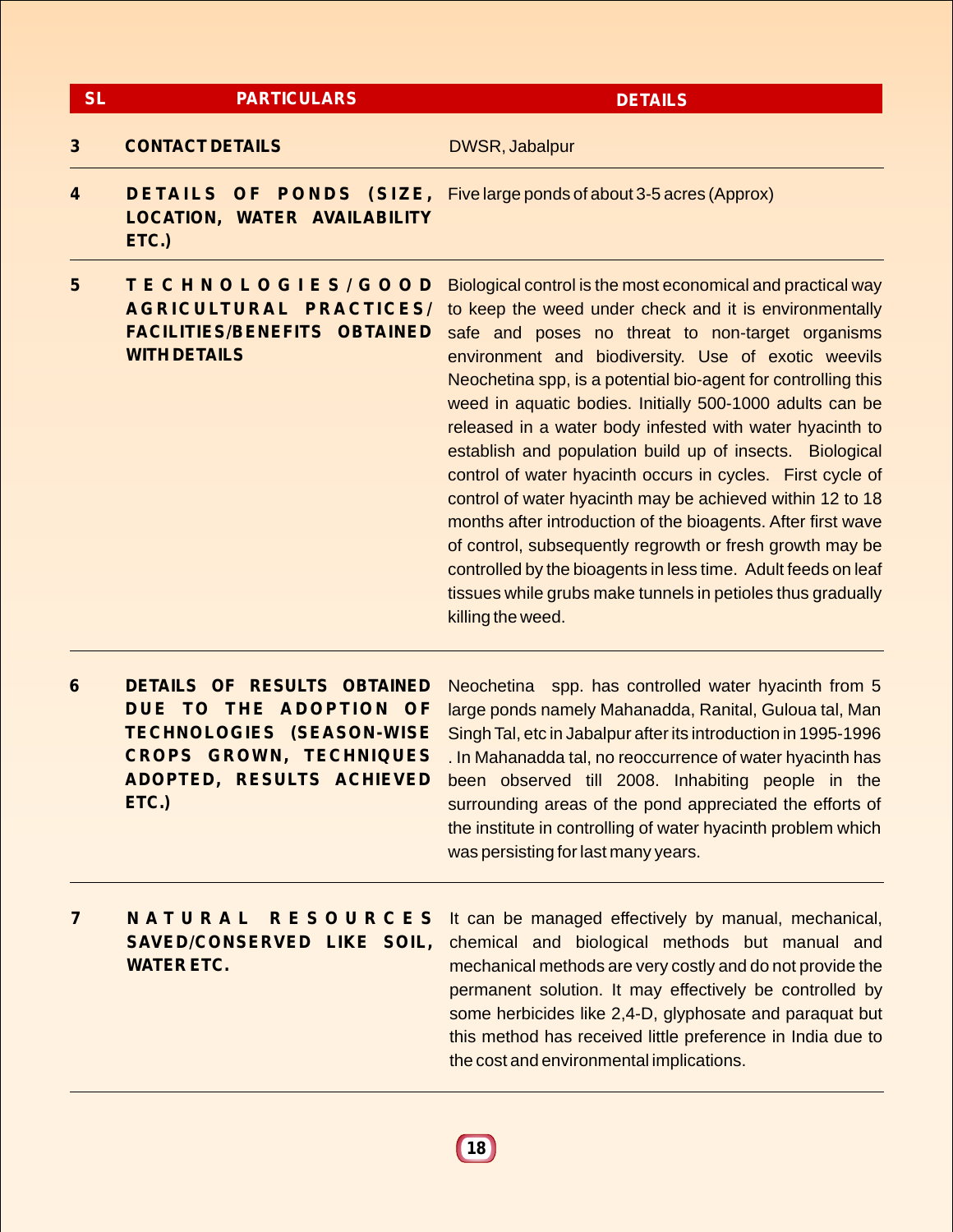| <b>SL</b>        | <b>PARTICULARS</b>                                                                                         | <b>DETAILS</b>                                                                                                                                                                                                                                                                                                                                                                                                                                                                                                                                                                                                                                                                                                                                                                                                                                                                                    |
|------------------|------------------------------------------------------------------------------------------------------------|---------------------------------------------------------------------------------------------------------------------------------------------------------------------------------------------------------------------------------------------------------------------------------------------------------------------------------------------------------------------------------------------------------------------------------------------------------------------------------------------------------------------------------------------------------------------------------------------------------------------------------------------------------------------------------------------------------------------------------------------------------------------------------------------------------------------------------------------------------------------------------------------------|
| 3                | <b>CONTACT DETAILS</b>                                                                                     | <b>DWSR, Jabalpur</b>                                                                                                                                                                                                                                                                                                                                                                                                                                                                                                                                                                                                                                                                                                                                                                                                                                                                             |
| $\boldsymbol{4}$ | LOCATION, WATER AVAILABILITY<br>ETC.)                                                                      | <b>DETAILS OF PONDS (SIZE, Five large ponds of about 3-5 acres (Approx)</b>                                                                                                                                                                                                                                                                                                                                                                                                                                                                                                                                                                                                                                                                                                                                                                                                                       |
| 5                | TECHNOLOGIES/GOOD<br>AGRICULTURAL PRACTICES/<br><b>FACILITIES/BENEFITS OBTAINED</b><br><b>WITH DETAILS</b> | Biological control is the most economical and practical way<br>to keep the weed under check and it is environmentally<br>safe and poses no threat to non-target organisms<br>environment and biodiversity. Use of exotic weevils<br>Neochetina spp, is a potential bio-agent for controlling this<br>weed in aquatic bodies. Initially 500-1000 adults can be<br>released in a water body infested with water hyacinth to<br>establish and population build up of insects. Biological<br>control of water hyacinth occurs in cycles. First cycle of<br>control of water hyacinth may be achieved within 12 to 18<br>months after introduction of the bioagents. After first wave<br>of control, subsequently regrowth or fresh growth may be<br>controlled by the bioagents in less time. Adult feeds on leaf<br>tissues while grubs make tunnels in petioles thus gradually<br>killing the weed. |
| 6                | DETAILS OF RESULTS OBTAINED                                                                                | <b>Neochetina</b><br>spp. has controlled water hyacinth from 5                                                                                                                                                                                                                                                                                                                                                                                                                                                                                                                                                                                                                                                                                                                                                                                                                                    |

**DUE TO THE ADOPTION OF TECHNOLOGIES (SEASON-WISE CROPS GROWN, TECHNIQUES ADOPTED, RESULTS ACHIEVED ETC.)**

large ponds namely Mahanadda, Ranital, Guloua tal, Man Singh Tal, etc in Jabalpur after its introduction in 1995-1996 . In Mahanadda tal, no reoccurrence of water hyacinth has been observed till 2008. Inhabiting people in the surrounding areas of the pond appreciated the efforts of the institute in controlling of water hyacinth problem which was persisting for last many years.

**7 N A T U R A L R E S O U R C E S SAVED/CONSERVED LIKE SOIL, WATER ETC.**

It can be managed effectively by manual, mechanical, chemical and biological methods but manual and mechanical methods are very costly and do not provide the permanent solution. It may effectively be controlled by some herbicides like 2,4-D, glyphosate and paraquat but this method has received little preference in India due to the cost and environmental implications.